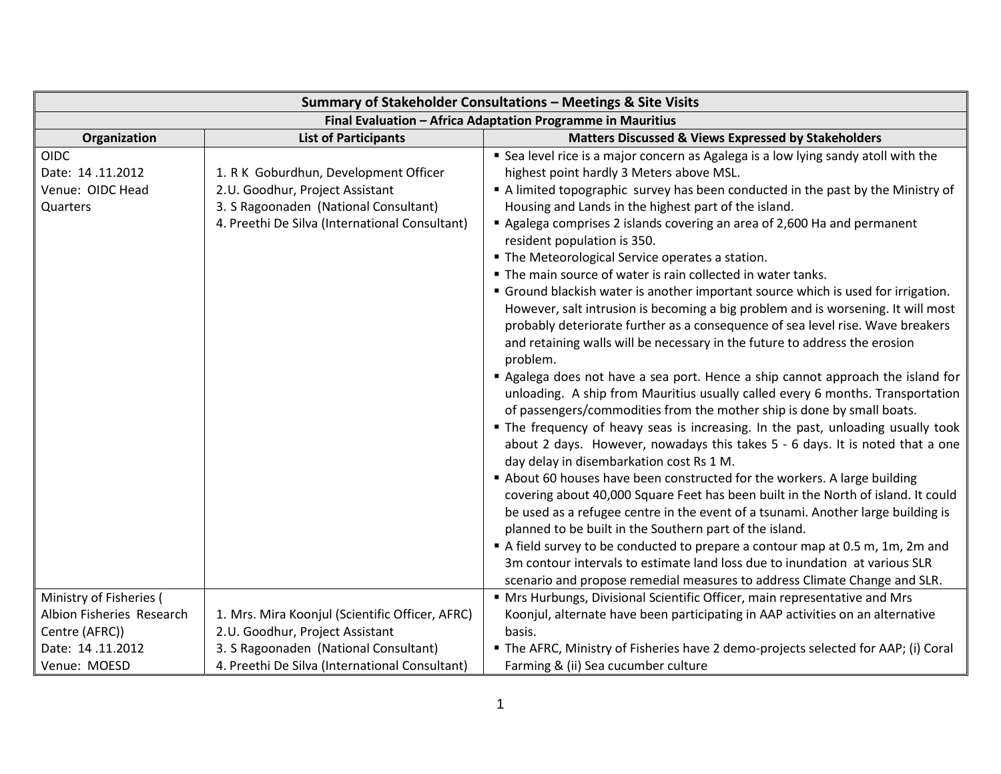| Summary of Stakeholder Consultations - Meetings & Site Visits |                                                 |                                                                                                                                                                                                                                                  |
|---------------------------------------------------------------|-------------------------------------------------|--------------------------------------------------------------------------------------------------------------------------------------------------------------------------------------------------------------------------------------------------|
|                                                               |                                                 | Final Evaluation - Africa Adaptation Programme in Mauritius                                                                                                                                                                                      |
| Organization                                                  | <b>List of Participants</b>                     | Matters Discussed & Views Expressed by Stakeholders                                                                                                                                                                                              |
| <b>OIDC</b>                                                   |                                                 | " Sea level rice is a major concern as Agalega is a low lying sandy atoll with the                                                                                                                                                               |
| Date: 14.11.2012                                              | 1. R K Goburdhun, Development Officer           | highest point hardly 3 Meters above MSL.                                                                                                                                                                                                         |
| Venue: OIDC Head                                              | 2.U. Goodhur, Project Assistant                 | A limited topographic survey has been conducted in the past by the Ministry of                                                                                                                                                                   |
| Quarters                                                      | 3. S Ragoonaden (National Consultant)           | Housing and Lands in the highest part of the island.                                                                                                                                                                                             |
|                                                               | 4. Preethi De Silva (International Consultant)  | Agalega comprises 2 islands covering an area of 2,600 Ha and permanent<br>resident population is 350.                                                                                                                                            |
|                                                               |                                                 | " The Meteorological Service operates a station.                                                                                                                                                                                                 |
|                                                               |                                                 | " The main source of water is rain collected in water tanks.                                                                                                                                                                                     |
|                                                               |                                                 | " Ground blackish water is another important source which is used for irrigation.                                                                                                                                                                |
|                                                               |                                                 | However, salt intrusion is becoming a big problem and is worsening. It will most<br>probably deteriorate further as a consequence of sea level rise. Wave breakers<br>and retaining walls will be necessary in the future to address the erosion |
|                                                               |                                                 | problem.                                                                                                                                                                                                                                         |
|                                                               |                                                 | Agalega does not have a sea port. Hence a ship cannot approach the island for                                                                                                                                                                    |
|                                                               |                                                 | unloading. A ship from Mauritius usually called every 6 months. Transportation                                                                                                                                                                   |
|                                                               |                                                 | of passengers/commodities from the mother ship is done by small boats.                                                                                                                                                                           |
|                                                               |                                                 | • The frequency of heavy seas is increasing. In the past, unloading usually took                                                                                                                                                                 |
|                                                               |                                                 | about 2 days. However, nowadays this takes 5 - 6 days. It is noted that a one<br>day delay in disembarkation cost Rs 1 M.                                                                                                                        |
|                                                               |                                                 | About 60 houses have been constructed for the workers. A large building                                                                                                                                                                          |
|                                                               |                                                 | covering about 40,000 Square Feet has been built in the North of island. It could                                                                                                                                                                |
|                                                               |                                                 | be used as a refugee centre in the event of a tsunami. Another large building is                                                                                                                                                                 |
|                                                               |                                                 | planned to be built in the Southern part of the island.                                                                                                                                                                                          |
|                                                               |                                                 | A field survey to be conducted to prepare a contour map at 0.5 m, 1m, 2m and                                                                                                                                                                     |
|                                                               |                                                 | 3m contour intervals to estimate land loss due to inundation at various SLR                                                                                                                                                                      |
|                                                               |                                                 | scenario and propose remedial measures to address Climate Change and SLR.                                                                                                                                                                        |
| Ministry of Fisheries (                                       |                                                 | " Mrs Hurbungs, Divisional Scientific Officer, main representative and Mrs                                                                                                                                                                       |
| Albion Fisheries Research                                     | 1. Mrs. Mira Koonjul (Scientific Officer, AFRC) | Koonjul, alternate have been participating in AAP activities on an alternative                                                                                                                                                                   |
| Centre (AFRC))                                                | 2.U. Goodhur, Project Assistant                 | basis.                                                                                                                                                                                                                                           |
| Date: 14.11.2012                                              | 3. S Ragoonaden (National Consultant)           | The AFRC, Ministry of Fisheries have 2 demo-projects selected for AAP; (i) Coral                                                                                                                                                                 |
| Venue: MOESD                                                  | 4. Preethi De Silva (International Consultant)  | Farming & (ii) Sea cucumber culture                                                                                                                                                                                                              |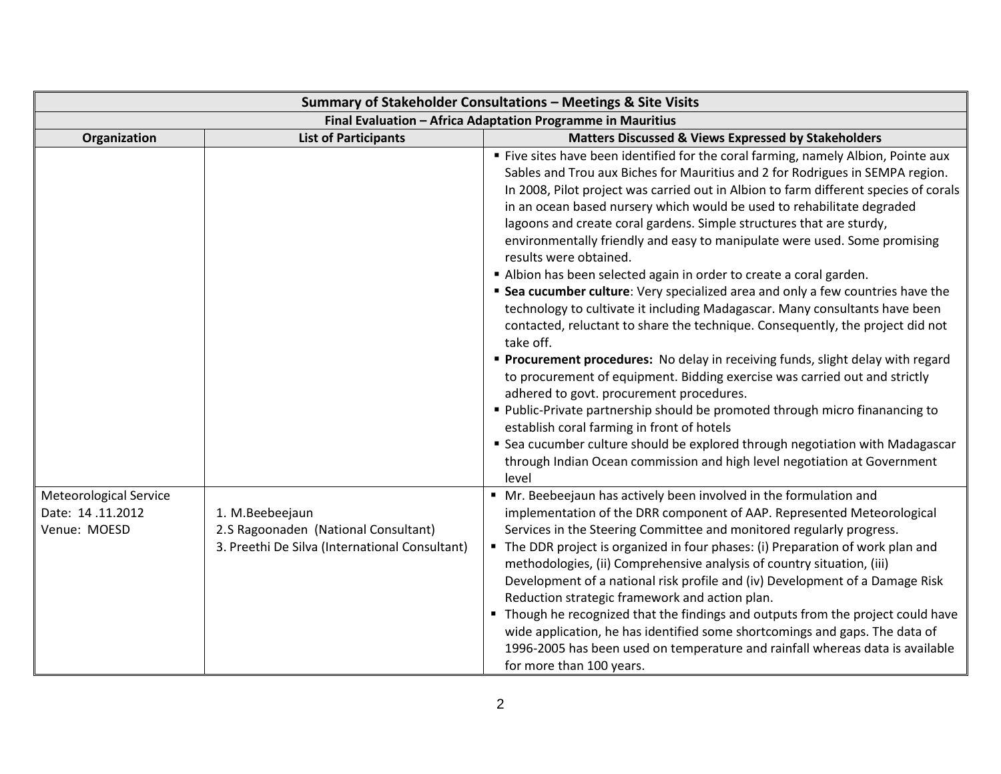| Summary of Stakeholder Consultations - Meetings & Site Visits     |                                                                                                           |                                                                                                                                                                                                                                                                                                                                                                                                                                                                                                                                                                                                                                                                                                                                                                                                                                                                                                                                                                                                                                                                                                                                                                                                                                                                                                                                                                             |
|-------------------------------------------------------------------|-----------------------------------------------------------------------------------------------------------|-----------------------------------------------------------------------------------------------------------------------------------------------------------------------------------------------------------------------------------------------------------------------------------------------------------------------------------------------------------------------------------------------------------------------------------------------------------------------------------------------------------------------------------------------------------------------------------------------------------------------------------------------------------------------------------------------------------------------------------------------------------------------------------------------------------------------------------------------------------------------------------------------------------------------------------------------------------------------------------------------------------------------------------------------------------------------------------------------------------------------------------------------------------------------------------------------------------------------------------------------------------------------------------------------------------------------------------------------------------------------------|
| Final Evaluation - Africa Adaptation Programme in Mauritius       |                                                                                                           |                                                                                                                                                                                                                                                                                                                                                                                                                                                                                                                                                                                                                                                                                                                                                                                                                                                                                                                                                                                                                                                                                                                                                                                                                                                                                                                                                                             |
| Organization                                                      | <b>List of Participants</b>                                                                               | <b>Matters Discussed &amp; Views Expressed by Stakeholders</b>                                                                                                                                                                                                                                                                                                                                                                                                                                                                                                                                                                                                                                                                                                                                                                                                                                                                                                                                                                                                                                                                                                                                                                                                                                                                                                              |
|                                                                   |                                                                                                           | " Five sites have been identified for the coral farming, namely Albion, Pointe aux<br>Sables and Trou aux Biches for Mauritius and 2 for Rodrigues in SEMPA region.<br>In 2008, Pilot project was carried out in Albion to farm different species of corals<br>in an ocean based nursery which would be used to rehabilitate degraded<br>lagoons and create coral gardens. Simple structures that are sturdy,<br>environmentally friendly and easy to manipulate were used. Some promising<br>results were obtained.<br>Albion has been selected again in order to create a coral garden.<br>" Sea cucumber culture: Very specialized area and only a few countries have the<br>technology to cultivate it including Madagascar. Many consultants have been<br>contacted, reluctant to share the technique. Consequently, the project did not<br>take off.<br>" Procurement procedures: No delay in receiving funds, slight delay with regard<br>to procurement of equipment. Bidding exercise was carried out and strictly<br>adhered to govt. procurement procedures.<br>" Public-Private partnership should be promoted through micro finanancing to<br>establish coral farming in front of hotels<br>" Sea cucumber culture should be explored through negotiation with Madagascar<br>through Indian Ocean commission and high level negotiation at Government<br>level |
| <b>Meteorological Service</b><br>Date: 14.11.2012<br>Venue: MOESD | 1. M.Beebeejaun<br>2.S Ragoonaden (National Consultant)<br>3. Preethi De Silva (International Consultant) | " Mr. Beebeejaun has actively been involved in the formulation and<br>implementation of the DRR component of AAP. Represented Meteorological<br>Services in the Steering Committee and monitored regularly progress.<br>• The DDR project is organized in four phases: (i) Preparation of work plan and<br>methodologies, (ii) Comprehensive analysis of country situation, (iii)<br>Development of a national risk profile and (iv) Development of a Damage Risk<br>Reduction strategic framework and action plan.<br>• Though he recognized that the findings and outputs from the project could have<br>wide application, he has identified some shortcomings and gaps. The data of<br>1996-2005 has been used on temperature and rainfall whereas data is available<br>for more than 100 years.                                                                                                                                                                                                                                                                                                                                                                                                                                                                                                                                                                         |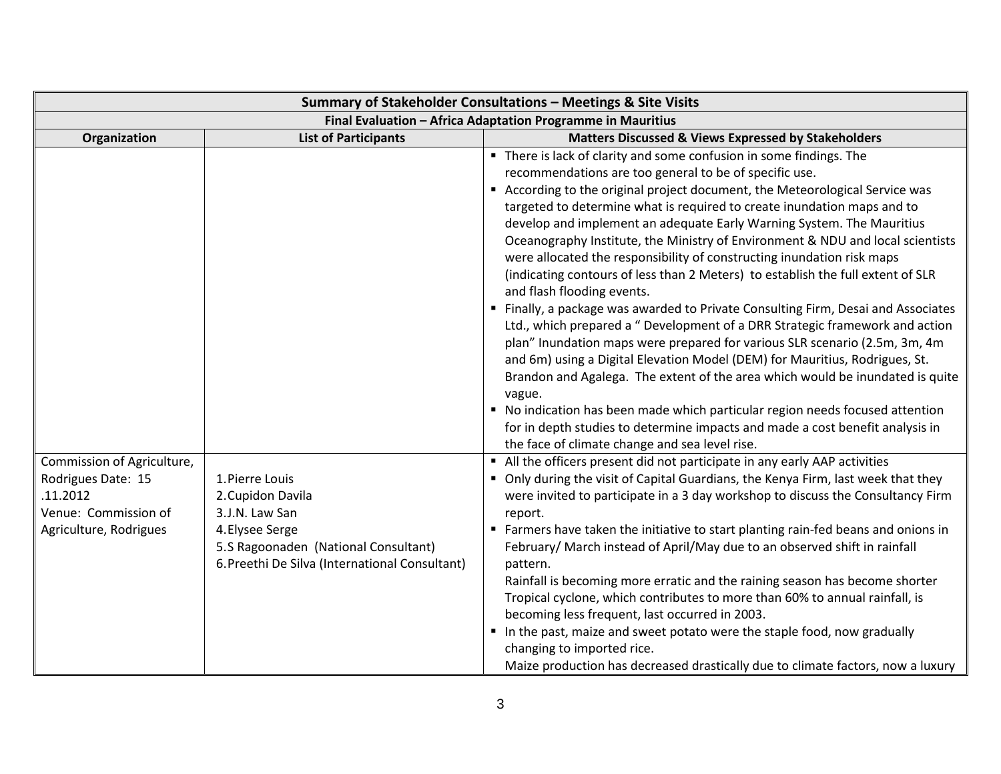| Summary of Stakeholder Consultations - Meetings & Site Visits                                                  |                                                                                                                                                                     |                                                                                                                                                                                                                                                                                                                                                                                                                                                                                                                                                                                                                                                                                                                                                                                                                                                                                                                                                                                                                                                                                                                                                                                                                                                                                                                                                                                                                                                                                                                                                                                                                                                                                                                                                                                                                                                                                                                                                                                                                                                                                                                                                       |
|----------------------------------------------------------------------------------------------------------------|---------------------------------------------------------------------------------------------------------------------------------------------------------------------|-------------------------------------------------------------------------------------------------------------------------------------------------------------------------------------------------------------------------------------------------------------------------------------------------------------------------------------------------------------------------------------------------------------------------------------------------------------------------------------------------------------------------------------------------------------------------------------------------------------------------------------------------------------------------------------------------------------------------------------------------------------------------------------------------------------------------------------------------------------------------------------------------------------------------------------------------------------------------------------------------------------------------------------------------------------------------------------------------------------------------------------------------------------------------------------------------------------------------------------------------------------------------------------------------------------------------------------------------------------------------------------------------------------------------------------------------------------------------------------------------------------------------------------------------------------------------------------------------------------------------------------------------------------------------------------------------------------------------------------------------------------------------------------------------------------------------------------------------------------------------------------------------------------------------------------------------------------------------------------------------------------------------------------------------------------------------------------------------------------------------------------------------------|
| Final Evaluation - Africa Adaptation Programme in Mauritius                                                    |                                                                                                                                                                     |                                                                                                                                                                                                                                                                                                                                                                                                                                                                                                                                                                                                                                                                                                                                                                                                                                                                                                                                                                                                                                                                                                                                                                                                                                                                                                                                                                                                                                                                                                                                                                                                                                                                                                                                                                                                                                                                                                                                                                                                                                                                                                                                                       |
| Organization                                                                                                   | <b>List of Participants</b>                                                                                                                                         | <b>Matters Discussed &amp; Views Expressed by Stakeholders</b>                                                                                                                                                                                                                                                                                                                                                                                                                                                                                                                                                                                                                                                                                                                                                                                                                                                                                                                                                                                                                                                                                                                                                                                                                                                                                                                                                                                                                                                                                                                                                                                                                                                                                                                                                                                                                                                                                                                                                                                                                                                                                        |
| Commission of Agriculture,<br>Rodrigues Date: 15<br>.11.2012<br>Venue: Commission of<br>Agriculture, Rodrigues | 1. Pierre Louis<br>2. Cupidon Davila<br>3.J.N. Law San<br>4. Elysee Serge<br>5.S Ragoonaden (National Consultant)<br>6. Preethi De Silva (International Consultant) | " There is lack of clarity and some confusion in some findings. The<br>recommendations are too general to be of specific use.<br>According to the original project document, the Meteorological Service was<br>targeted to determine what is required to create inundation maps and to<br>develop and implement an adequate Early Warning System. The Mauritius<br>Oceanography Institute, the Ministry of Environment & NDU and local scientists<br>were allocated the responsibility of constructing inundation risk maps<br>(indicating contours of less than 2 Meters) to establish the full extent of SLR<br>and flash flooding events.<br>Finally, a package was awarded to Private Consulting Firm, Desai and Associates<br>Ltd., which prepared a " Development of a DRR Strategic framework and action<br>plan" Inundation maps were prepared for various SLR scenario (2.5m, 3m, 4m<br>and 6m) using a Digital Elevation Model (DEM) for Mauritius, Rodrigues, St.<br>Brandon and Agalega. The extent of the area which would be inundated is quite<br>vague.<br>• No indication has been made which particular region needs focused attention<br>for in depth studies to determine impacts and made a cost benefit analysis in<br>the face of climate change and sea level rise.<br>All the officers present did not participate in any early AAP activities<br>• Only during the visit of Capital Guardians, the Kenya Firm, last week that they<br>were invited to participate in a 3 day workshop to discuss the Consultancy Firm<br>report.<br>■ Farmers have taken the initiative to start planting rain-fed beans and onions in<br>February/ March instead of April/May due to an observed shift in rainfall<br>pattern.<br>Rainfall is becoming more erratic and the raining season has become shorter<br>Tropical cyclone, which contributes to more than 60% to annual rainfall, is<br>becoming less frequent, last occurred in 2003.<br>In the past, maize and sweet potato were the staple food, now gradually<br>changing to imported rice.<br>Maize production has decreased drastically due to climate factors, now a luxury |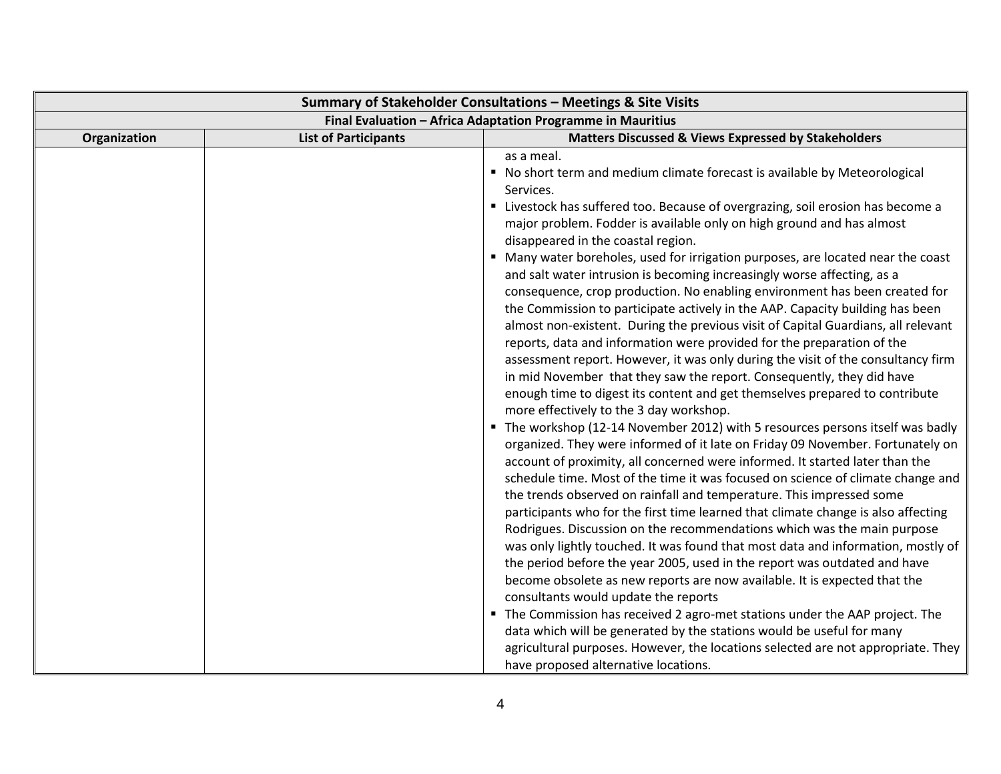| Summary of Stakeholder Consultations - Meetings & Site Visits |                             |                                                                                                                                                                                                                                                                                                                                                                                                                                                                                                                                                                                                                                                                                                                                                                                                                                                                                                                                                                                                                                                                                                                                                                                                                                                                                                                                                                                                                                                                                                                                                                                                                                                                                                                                                                                                                                                                                                                                                                                                                                                                                                                                                                                                                                                     |
|---------------------------------------------------------------|-----------------------------|-----------------------------------------------------------------------------------------------------------------------------------------------------------------------------------------------------------------------------------------------------------------------------------------------------------------------------------------------------------------------------------------------------------------------------------------------------------------------------------------------------------------------------------------------------------------------------------------------------------------------------------------------------------------------------------------------------------------------------------------------------------------------------------------------------------------------------------------------------------------------------------------------------------------------------------------------------------------------------------------------------------------------------------------------------------------------------------------------------------------------------------------------------------------------------------------------------------------------------------------------------------------------------------------------------------------------------------------------------------------------------------------------------------------------------------------------------------------------------------------------------------------------------------------------------------------------------------------------------------------------------------------------------------------------------------------------------------------------------------------------------------------------------------------------------------------------------------------------------------------------------------------------------------------------------------------------------------------------------------------------------------------------------------------------------------------------------------------------------------------------------------------------------------------------------------------------------------------------------------------------------|
| Final Evaluation - Africa Adaptation Programme in Mauritius   |                             |                                                                                                                                                                                                                                                                                                                                                                                                                                                                                                                                                                                                                                                                                                                                                                                                                                                                                                                                                                                                                                                                                                                                                                                                                                                                                                                                                                                                                                                                                                                                                                                                                                                                                                                                                                                                                                                                                                                                                                                                                                                                                                                                                                                                                                                     |
| Organization                                                  | <b>List of Participants</b> | <b>Matters Discussed &amp; Views Expressed by Stakeholders</b>                                                                                                                                                                                                                                                                                                                                                                                                                                                                                                                                                                                                                                                                                                                                                                                                                                                                                                                                                                                                                                                                                                                                                                                                                                                                                                                                                                                                                                                                                                                                                                                                                                                                                                                                                                                                                                                                                                                                                                                                                                                                                                                                                                                      |
|                                                               |                             | as a meal.<br>" No short term and medium climate forecast is available by Meteorological<br>Services.<br>" Livestock has suffered too. Because of overgrazing, soil erosion has become a<br>major problem. Fodder is available only on high ground and has almost<br>disappeared in the coastal region.<br>" Many water boreholes, used for irrigation purposes, are located near the coast<br>and salt water intrusion is becoming increasingly worse affecting, as a<br>consequence, crop production. No enabling environment has been created for<br>the Commission to participate actively in the AAP. Capacity building has been<br>almost non-existent. During the previous visit of Capital Guardians, all relevant<br>reports, data and information were provided for the preparation of the<br>assessment report. However, it was only during the visit of the consultancy firm<br>in mid November that they saw the report. Consequently, they did have<br>enough time to digest its content and get themselves prepared to contribute<br>more effectively to the 3 day workshop.<br>• The workshop (12-14 November 2012) with 5 resources persons itself was badly<br>organized. They were informed of it late on Friday 09 November. Fortunately on<br>account of proximity, all concerned were informed. It started later than the<br>schedule time. Most of the time it was focused on science of climate change and<br>the trends observed on rainfall and temperature. This impressed some<br>participants who for the first time learned that climate change is also affecting<br>Rodrigues. Discussion on the recommendations which was the main purpose<br>was only lightly touched. It was found that most data and information, mostly of<br>the period before the year 2005, used in the report was outdated and have<br>become obsolete as new reports are now available. It is expected that the<br>consultants would update the reports<br>The Commission has received 2 agro-met stations under the AAP project. The<br>data which will be generated by the stations would be useful for many<br>agricultural purposes. However, the locations selected are not appropriate. They<br>have proposed alternative locations. |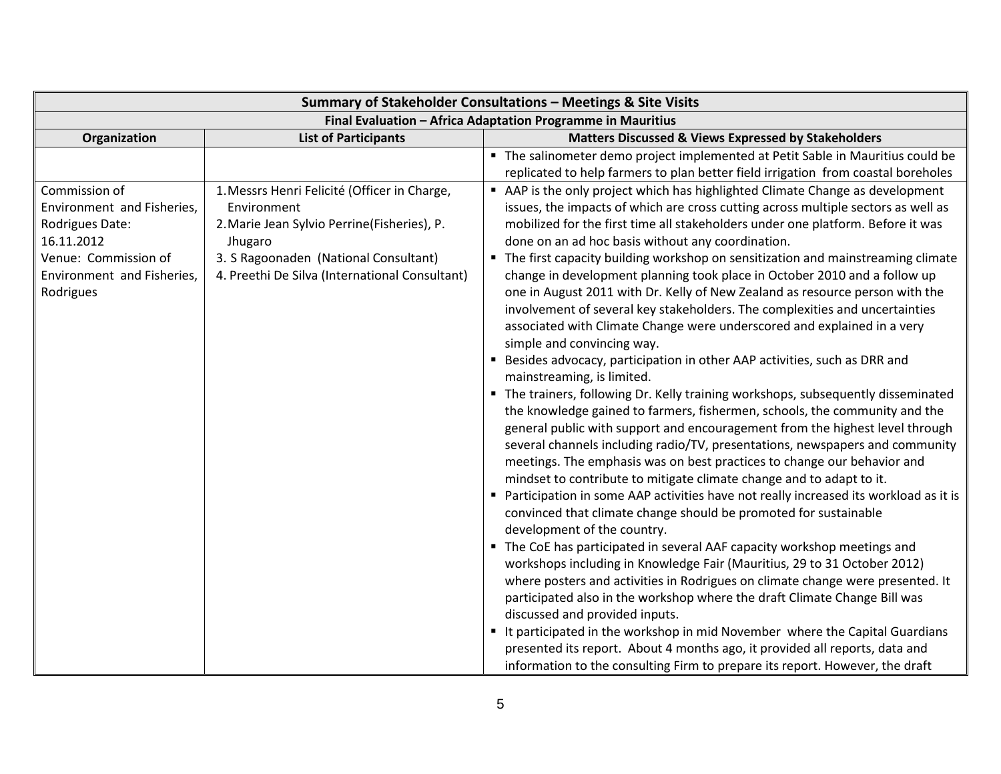| Summary of Stakeholder Consultations - Meetings & Site Visits |                                                |                                                                                      |
|---------------------------------------------------------------|------------------------------------------------|--------------------------------------------------------------------------------------|
| Final Evaluation - Africa Adaptation Programme in Mauritius   |                                                |                                                                                      |
| Organization                                                  | <b>List of Participants</b>                    | <b>Matters Discussed &amp; Views Expressed by Stakeholders</b>                       |
|                                                               |                                                | " The salinometer demo project implemented at Petit Sable in Mauritius could be      |
|                                                               |                                                | replicated to help farmers to plan better field irrigation from coastal boreholes    |
| Commission of                                                 | 1. Messrs Henri Felicité (Officer in Charge,   | AAP is the only project which has highlighted Climate Change as development          |
| Environment and Fisheries,                                    | Environment                                    | issues, the impacts of which are cross cutting across multiple sectors as well as    |
| Rodrigues Date:                                               | 2. Marie Jean Sylvio Perrine(Fisheries), P.    | mobilized for the first time all stakeholders under one platform. Before it was      |
| 16.11.2012                                                    | Jhugaro                                        | done on an ad hoc basis without any coordination.                                    |
| Venue: Commission of                                          | 3. S Ragoonaden (National Consultant)          | • The first capacity building workshop on sensitization and mainstreaming climate    |
| Environment and Fisheries,                                    | 4. Preethi De Silva (International Consultant) | change in development planning took place in October 2010 and a follow up            |
| Rodrigues                                                     |                                                | one in August 2011 with Dr. Kelly of New Zealand as resource person with the         |
|                                                               |                                                | involvement of several key stakeholders. The complexities and uncertainties          |
|                                                               |                                                | associated with Climate Change were underscored and explained in a very              |
|                                                               |                                                | simple and convincing way.                                                           |
|                                                               |                                                | Besides advocacy, participation in other AAP activities, such as DRR and             |
|                                                               |                                                | mainstreaming, is limited.                                                           |
|                                                               |                                                | • The trainers, following Dr. Kelly training workshops, subsequently disseminated    |
|                                                               |                                                | the knowledge gained to farmers, fishermen, schools, the community and the           |
|                                                               |                                                | general public with support and encouragement from the highest level through         |
|                                                               |                                                | several channels including radio/TV, presentations, newspapers and community         |
|                                                               |                                                | meetings. The emphasis was on best practices to change our behavior and              |
|                                                               |                                                | mindset to contribute to mitigate climate change and to adapt to it.                 |
|                                                               |                                                | Participation in some AAP activities have not really increased its workload as it is |
|                                                               |                                                | convinced that climate change should be promoted for sustainable                     |
|                                                               |                                                | development of the country.                                                          |
|                                                               |                                                | The CoE has participated in several AAF capacity workshop meetings and               |
|                                                               |                                                | workshops including in Knowledge Fair (Mauritius, 29 to 31 October 2012)             |
|                                                               |                                                | where posters and activities in Rodrigues on climate change were presented. It       |
|                                                               |                                                | participated also in the workshop where the draft Climate Change Bill was            |
|                                                               |                                                | discussed and provided inputs.                                                       |
|                                                               |                                                | It participated in the workshop in mid November where the Capital Guardians          |
|                                                               |                                                | presented its report. About 4 months ago, it provided all reports, data and          |
|                                                               |                                                | information to the consulting Firm to prepare its report. However, the draft         |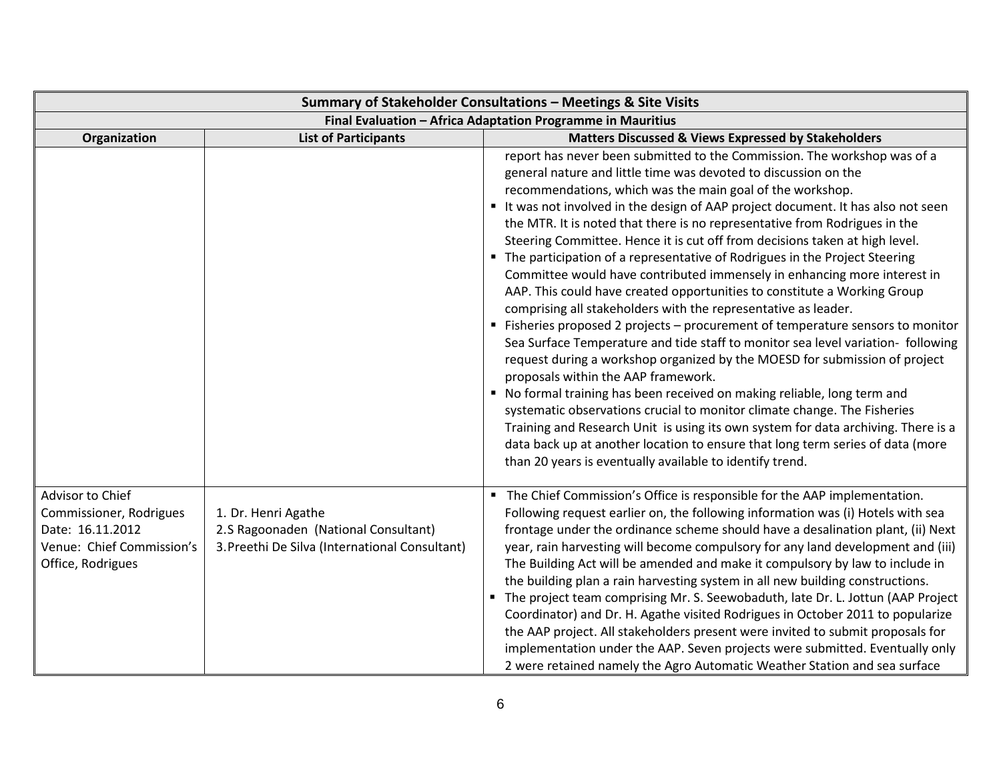| Summary of Stakeholder Consultations - Meetings & Site Visits                                                     |                                                                                                               |                                                                                                                                                                                                                                                                                                                                                                                                                                                                                                                                                                                                                                                                                                                                                                                                                                                                                                                                                                                                                                                                                                                                                                                                                                                                                                                                                                                                                                                           |
|-------------------------------------------------------------------------------------------------------------------|---------------------------------------------------------------------------------------------------------------|-----------------------------------------------------------------------------------------------------------------------------------------------------------------------------------------------------------------------------------------------------------------------------------------------------------------------------------------------------------------------------------------------------------------------------------------------------------------------------------------------------------------------------------------------------------------------------------------------------------------------------------------------------------------------------------------------------------------------------------------------------------------------------------------------------------------------------------------------------------------------------------------------------------------------------------------------------------------------------------------------------------------------------------------------------------------------------------------------------------------------------------------------------------------------------------------------------------------------------------------------------------------------------------------------------------------------------------------------------------------------------------------------------------------------------------------------------------|
|                                                                                                                   |                                                                                                               | Final Evaluation - Africa Adaptation Programme in Mauritius                                                                                                                                                                                                                                                                                                                                                                                                                                                                                                                                                                                                                                                                                                                                                                                                                                                                                                                                                                                                                                                                                                                                                                                                                                                                                                                                                                                               |
| Organization                                                                                                      | <b>List of Participants</b>                                                                                   | Matters Discussed & Views Expressed by Stakeholders                                                                                                                                                                                                                                                                                                                                                                                                                                                                                                                                                                                                                                                                                                                                                                                                                                                                                                                                                                                                                                                                                                                                                                                                                                                                                                                                                                                                       |
|                                                                                                                   |                                                                                                               | report has never been submitted to the Commission. The workshop was of a<br>general nature and little time was devoted to discussion on the<br>recommendations, which was the main goal of the workshop.<br>It was not involved in the design of AAP project document. It has also not seen<br>the MTR. It is noted that there is no representative from Rodrigues in the<br>Steering Committee. Hence it is cut off from decisions taken at high level.<br>• The participation of a representative of Rodrigues in the Project Steering<br>Committee would have contributed immensely in enhancing more interest in<br>AAP. This could have created opportunities to constitute a Working Group<br>comprising all stakeholders with the representative as leader.<br>■ Fisheries proposed 2 projects – procurement of temperature sensors to monitor<br>Sea Surface Temperature and tide staff to monitor sea level variation- following<br>request during a workshop organized by the MOESD for submission of project<br>proposals within the AAP framework.<br>" No formal training has been received on making reliable, long term and<br>systematic observations crucial to monitor climate change. The Fisheries<br>Training and Research Unit is using its own system for data archiving. There is a<br>data back up at another location to ensure that long term series of data (more<br>than 20 years is eventually available to identify trend. |
| Advisor to Chief<br>Commissioner, Rodrigues<br>Date: 16.11.2012<br>Venue: Chief Commission's<br>Office, Rodrigues | 1. Dr. Henri Agathe<br>2.S Ragoonaden (National Consultant)<br>3. Preethi De Silva (International Consultant) | " The Chief Commission's Office is responsible for the AAP implementation.<br>Following request earlier on, the following information was (i) Hotels with sea<br>frontage under the ordinance scheme should have a desalination plant, (ii) Next<br>year, rain harvesting will become compulsory for any land development and (iii)<br>The Building Act will be amended and make it compulsory by law to include in<br>the building plan a rain harvesting system in all new building constructions.<br>The project team comprising Mr. S. Seewobaduth, late Dr. L. Jottun (AAP Project<br>Coordinator) and Dr. H. Agathe visited Rodrigues in October 2011 to popularize<br>the AAP project. All stakeholders present were invited to submit proposals for<br>implementation under the AAP. Seven projects were submitted. Eventually only<br>2 were retained namely the Agro Automatic Weather Station and sea surface                                                                                                                                                                                                                                                                                                                                                                                                                                                                                                                                  |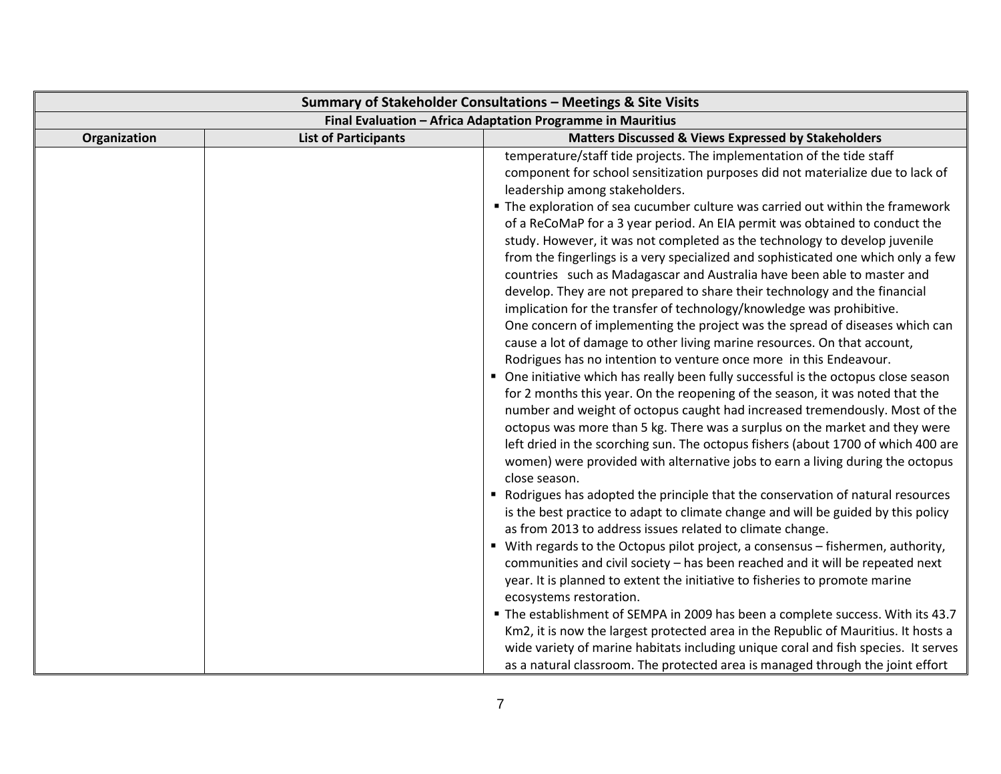| Summary of Stakeholder Consultations - Meetings & Site Visits |                             |                                                                                                                                                                                                                                                                                                                                                                                                                                                                                                                                                                                                                                                                                                                                                                                                                                                                                                                                                                                                                                                                                                                                                                                                                                                                                                                                                                                                                                                                                                                                                                                                                                                                                                                                                                                                                                                                                                                                                                                                                                                                                                                                                                                                                                                                                                                                                                                                   |
|---------------------------------------------------------------|-----------------------------|---------------------------------------------------------------------------------------------------------------------------------------------------------------------------------------------------------------------------------------------------------------------------------------------------------------------------------------------------------------------------------------------------------------------------------------------------------------------------------------------------------------------------------------------------------------------------------------------------------------------------------------------------------------------------------------------------------------------------------------------------------------------------------------------------------------------------------------------------------------------------------------------------------------------------------------------------------------------------------------------------------------------------------------------------------------------------------------------------------------------------------------------------------------------------------------------------------------------------------------------------------------------------------------------------------------------------------------------------------------------------------------------------------------------------------------------------------------------------------------------------------------------------------------------------------------------------------------------------------------------------------------------------------------------------------------------------------------------------------------------------------------------------------------------------------------------------------------------------------------------------------------------------------------------------------------------------------------------------------------------------------------------------------------------------------------------------------------------------------------------------------------------------------------------------------------------------------------------------------------------------------------------------------------------------------------------------------------------------------------------------------------------------|
| Final Evaluation - Africa Adaptation Programme in Mauritius   |                             |                                                                                                                                                                                                                                                                                                                                                                                                                                                                                                                                                                                                                                                                                                                                                                                                                                                                                                                                                                                                                                                                                                                                                                                                                                                                                                                                                                                                                                                                                                                                                                                                                                                                                                                                                                                                                                                                                                                                                                                                                                                                                                                                                                                                                                                                                                                                                                                                   |
| Organization                                                  | <b>List of Participants</b> | <b>Matters Discussed &amp; Views Expressed by Stakeholders</b>                                                                                                                                                                                                                                                                                                                                                                                                                                                                                                                                                                                                                                                                                                                                                                                                                                                                                                                                                                                                                                                                                                                                                                                                                                                                                                                                                                                                                                                                                                                                                                                                                                                                                                                                                                                                                                                                                                                                                                                                                                                                                                                                                                                                                                                                                                                                    |
|                                                               |                             | temperature/staff tide projects. The implementation of the tide staff<br>component for school sensitization purposes did not materialize due to lack of<br>leadership among stakeholders.<br>• The exploration of sea cucumber culture was carried out within the framework<br>of a ReCoMaP for a 3 year period. An EIA permit was obtained to conduct the<br>study. However, it was not completed as the technology to develop juvenile<br>from the fingerlings is a very specialized and sophisticated one which only a few<br>countries such as Madagascar and Australia have been able to master and<br>develop. They are not prepared to share their technology and the financial<br>implication for the transfer of technology/knowledge was prohibitive.<br>One concern of implementing the project was the spread of diseases which can<br>cause a lot of damage to other living marine resources. On that account,<br>Rodrigues has no intention to venture once more in this Endeavour.<br>• One initiative which has really been fully successful is the octopus close season<br>for 2 months this year. On the reopening of the season, it was noted that the<br>number and weight of octopus caught had increased tremendously. Most of the<br>octopus was more than 5 kg. There was a surplus on the market and they were<br>left dried in the scorching sun. The octopus fishers (about 1700 of which 400 are<br>women) were provided with alternative jobs to earn a living during the octopus<br>close season.<br>Rodrigues has adopted the principle that the conservation of natural resources<br>is the best practice to adapt to climate change and will be guided by this policy<br>as from 2013 to address issues related to climate change.<br>With regards to the Octopus pilot project, a consensus - fishermen, authority,<br>communities and civil society - has been reached and it will be repeated next<br>year. It is planned to extent the initiative to fisheries to promote marine<br>ecosystems restoration.<br>" The establishment of SEMPA in 2009 has been a complete success. With its 43.7<br>Km2, it is now the largest protected area in the Republic of Mauritius. It hosts a<br>wide variety of marine habitats including unique coral and fish species. It serves<br>as a natural classroom. The protected area is managed through the joint effort |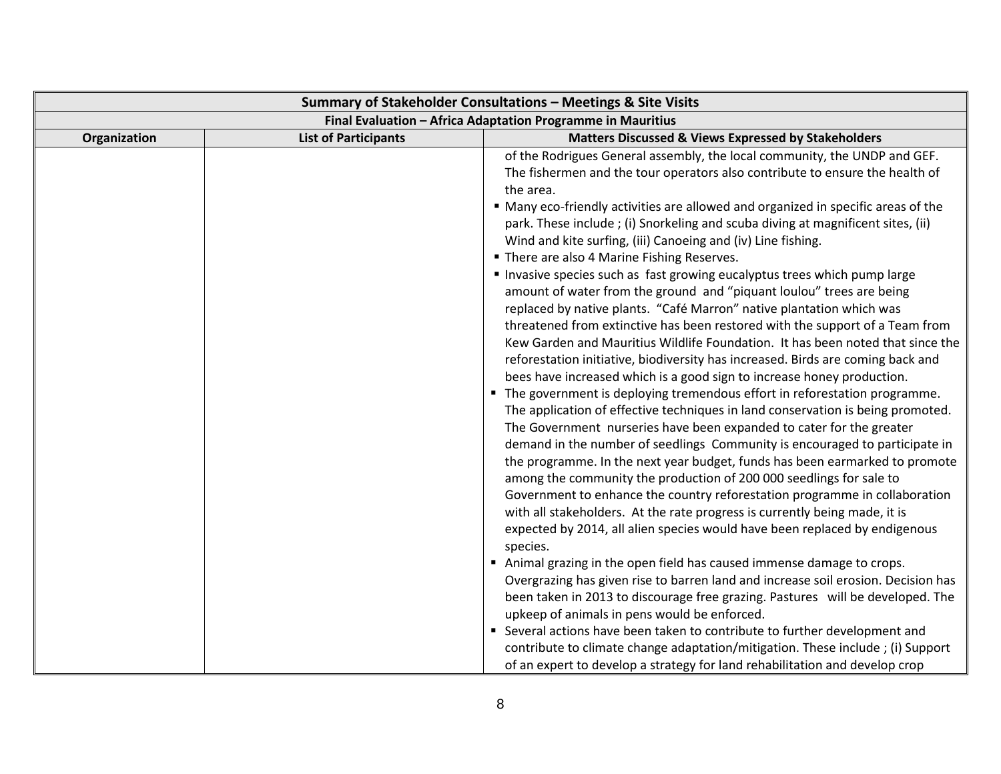| Summary of Stakeholder Consultations - Meetings & Site Visits |                             |                                                                                   |
|---------------------------------------------------------------|-----------------------------|-----------------------------------------------------------------------------------|
| Final Evaluation - Africa Adaptation Programme in Mauritius   |                             |                                                                                   |
| Organization                                                  | <b>List of Participants</b> | <b>Matters Discussed &amp; Views Expressed by Stakeholders</b>                    |
|                                                               |                             | of the Rodrigues General assembly, the local community, the UNDP and GEF.         |
|                                                               |                             | The fishermen and the tour operators also contribute to ensure the health of      |
|                                                               |                             | the area.                                                                         |
|                                                               |                             | • Many eco-friendly activities are allowed and organized in specific areas of the |
|                                                               |                             | park. These include; (i) Snorkeling and scuba diving at magnificent sites, (ii)   |
|                                                               |                             | Wind and kite surfing, (iii) Canoeing and (iv) Line fishing.                      |
|                                                               |                             | " There are also 4 Marine Fishing Reserves.                                       |
|                                                               |                             | Invasive species such as fast growing eucalyptus trees which pump large           |
|                                                               |                             | amount of water from the ground and "piquant loulou" trees are being              |
|                                                               |                             | replaced by native plants. "Café Marron" native plantation which was              |
|                                                               |                             | threatened from extinctive has been restored with the support of a Team from      |
|                                                               |                             | Kew Garden and Mauritius Wildlife Foundation. It has been noted that since the    |
|                                                               |                             | reforestation initiative, biodiversity has increased. Birds are coming back and   |
|                                                               |                             | bees have increased which is a good sign to increase honey production.            |
|                                                               |                             | • The government is deploying tremendous effort in reforestation programme.       |
|                                                               |                             | The application of effective techniques in land conservation is being promoted.   |
|                                                               |                             | The Government nurseries have been expanded to cater for the greater              |
|                                                               |                             | demand in the number of seedlings Community is encouraged to participate in       |
|                                                               |                             | the programme. In the next year budget, funds has been earmarked to promote       |
|                                                               |                             | among the community the production of 200 000 seedlings for sale to               |
|                                                               |                             | Government to enhance the country reforestation programme in collaboration        |
|                                                               |                             | with all stakeholders. At the rate progress is currently being made, it is        |
|                                                               |                             | expected by 2014, all alien species would have been replaced by endigenous        |
|                                                               |                             | species.                                                                          |
|                                                               |                             | Animal grazing in the open field has caused immense damage to crops.              |
|                                                               |                             | Overgrazing has given rise to barren land and increase soil erosion. Decision has |
|                                                               |                             | been taken in 2013 to discourage free grazing. Pastures will be developed. The    |
|                                                               |                             | upkeep of animals in pens would be enforced.                                      |
|                                                               |                             | Several actions have been taken to contribute to further development and          |
|                                                               |                             | contribute to climate change adaptation/mitigation. These include ; (i) Support   |
|                                                               |                             | of an expert to develop a strategy for land rehabilitation and develop crop       |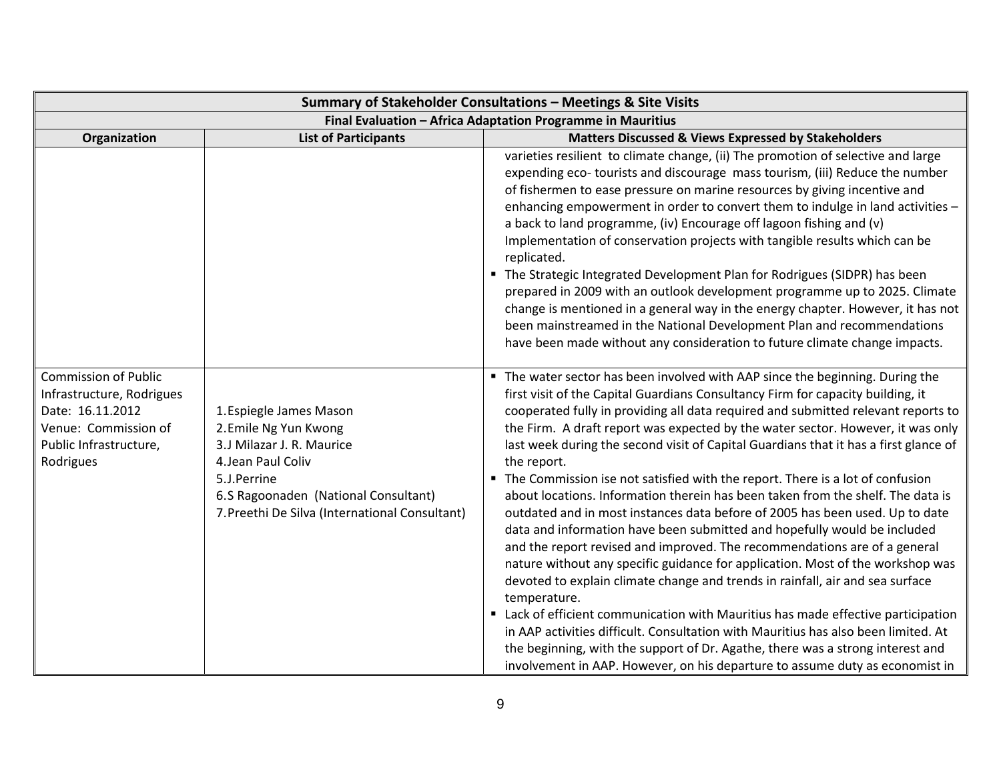| Summary of Stakeholder Consultations - Meetings & Site Visits                                                                               |                                                                                                                                                                                                              |                                                                                                                                                                                                                                                                                                                                                                                                                                                                                                                                                                                                                                                                                                                                                                                                                                                                                                                                                                                                                                                                                                                                                                                                                                                                                                                                                                                              |
|---------------------------------------------------------------------------------------------------------------------------------------------|--------------------------------------------------------------------------------------------------------------------------------------------------------------------------------------------------------------|----------------------------------------------------------------------------------------------------------------------------------------------------------------------------------------------------------------------------------------------------------------------------------------------------------------------------------------------------------------------------------------------------------------------------------------------------------------------------------------------------------------------------------------------------------------------------------------------------------------------------------------------------------------------------------------------------------------------------------------------------------------------------------------------------------------------------------------------------------------------------------------------------------------------------------------------------------------------------------------------------------------------------------------------------------------------------------------------------------------------------------------------------------------------------------------------------------------------------------------------------------------------------------------------------------------------------------------------------------------------------------------------|
| Final Evaluation - Africa Adaptation Programme in Mauritius                                                                                 |                                                                                                                                                                                                              |                                                                                                                                                                                                                                                                                                                                                                                                                                                                                                                                                                                                                                                                                                                                                                                                                                                                                                                                                                                                                                                                                                                                                                                                                                                                                                                                                                                              |
| Organization                                                                                                                                | <b>List of Participants</b>                                                                                                                                                                                  | Matters Discussed & Views Expressed by Stakeholders                                                                                                                                                                                                                                                                                                                                                                                                                                                                                                                                                                                                                                                                                                                                                                                                                                                                                                                                                                                                                                                                                                                                                                                                                                                                                                                                          |
|                                                                                                                                             |                                                                                                                                                                                                              | varieties resilient to climate change, (ii) The promotion of selective and large<br>expending eco-tourists and discourage mass tourism, (iii) Reduce the number<br>of fishermen to ease pressure on marine resources by giving incentive and<br>enhancing empowerment in order to convert them to indulge in land activities -<br>a back to land programme, (iv) Encourage off lagoon fishing and (v)<br>Implementation of conservation projects with tangible results which can be<br>replicated.<br>" The Strategic Integrated Development Plan for Rodrigues (SIDPR) has been<br>prepared in 2009 with an outlook development programme up to 2025. Climate<br>change is mentioned in a general way in the energy chapter. However, it has not<br>been mainstreamed in the National Development Plan and recommendations<br>have been made without any consideration to future climate change impacts.                                                                                                                                                                                                                                                                                                                                                                                                                                                                                    |
| <b>Commission of Public</b><br>Infrastructure, Rodrigues<br>Date: 16.11.2012<br>Venue: Commission of<br>Public Infrastructure,<br>Rodrigues | 1. Espiegle James Mason<br>2. Emile Ng Yun Kwong<br>3.J Milazar J. R. Maurice<br>4. Jean Paul Coliv<br>5.J.Perrine<br>6.S Ragoonaden (National Consultant)<br>7. Preethi De Silva (International Consultant) | " The water sector has been involved with AAP since the beginning. During the<br>first visit of the Capital Guardians Consultancy Firm for capacity building, it<br>cooperated fully in providing all data required and submitted relevant reports to<br>the Firm. A draft report was expected by the water sector. However, it was only<br>last week during the second visit of Capital Guardians that it has a first glance of<br>the report.<br>• The Commission ise not satisfied with the report. There is a lot of confusion<br>about locations. Information therein has been taken from the shelf. The data is<br>outdated and in most instances data before of 2005 has been used. Up to date<br>data and information have been submitted and hopefully would be included<br>and the report revised and improved. The recommendations are of a general<br>nature without any specific guidance for application. Most of the workshop was<br>devoted to explain climate change and trends in rainfall, air and sea surface<br>temperature.<br>Lack of efficient communication with Mauritius has made effective participation<br>in AAP activities difficult. Consultation with Mauritius has also been limited. At<br>the beginning, with the support of Dr. Agathe, there was a strong interest and<br>involvement in AAP. However, on his departure to assume duty as economist in |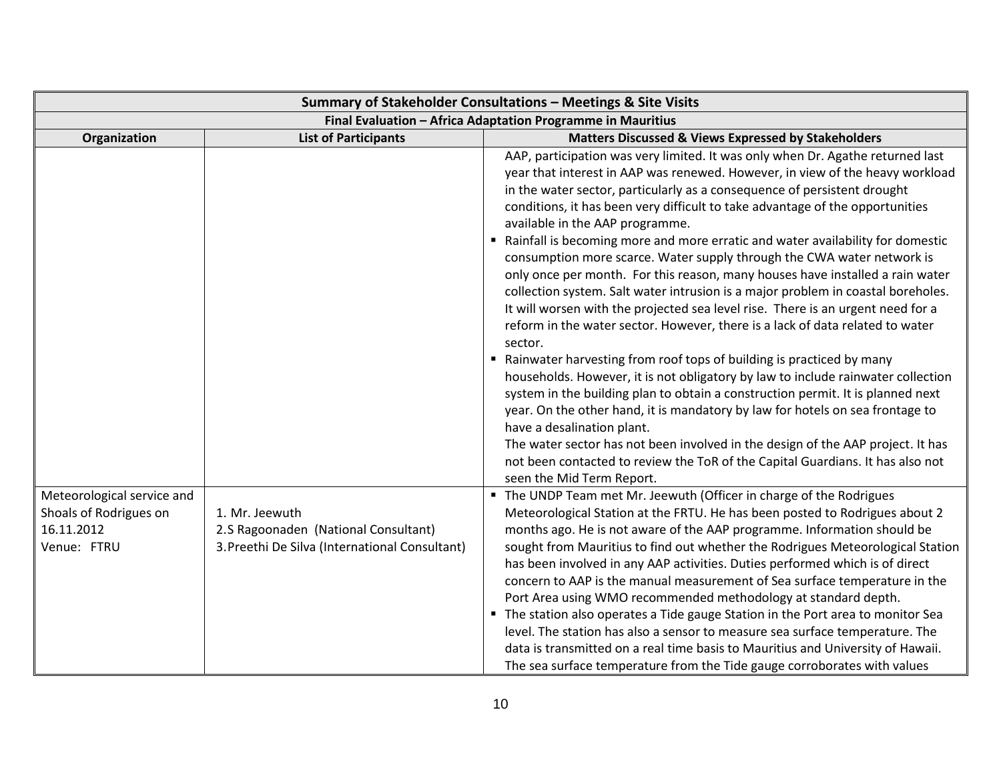| Summary of Stakeholder Consultations - Meetings & Site Visits                     |                                                                                                          |                                                                                                                                                                                                                                                                                                                                                                                                                                                                                                                                                                                                                                                                                                                                                                                                                                                                                                                                                                                                                                                                                                                                                                                                                                                                                                                                                                                                                                                   |
|-----------------------------------------------------------------------------------|----------------------------------------------------------------------------------------------------------|---------------------------------------------------------------------------------------------------------------------------------------------------------------------------------------------------------------------------------------------------------------------------------------------------------------------------------------------------------------------------------------------------------------------------------------------------------------------------------------------------------------------------------------------------------------------------------------------------------------------------------------------------------------------------------------------------------------------------------------------------------------------------------------------------------------------------------------------------------------------------------------------------------------------------------------------------------------------------------------------------------------------------------------------------------------------------------------------------------------------------------------------------------------------------------------------------------------------------------------------------------------------------------------------------------------------------------------------------------------------------------------------------------------------------------------------------|
| Final Evaluation - Africa Adaptation Programme in Mauritius                       |                                                                                                          |                                                                                                                                                                                                                                                                                                                                                                                                                                                                                                                                                                                                                                                                                                                                                                                                                                                                                                                                                                                                                                                                                                                                                                                                                                                                                                                                                                                                                                                   |
| Organization                                                                      | <b>List of Participants</b>                                                                              | <b>Matters Discussed &amp; Views Expressed by Stakeholders</b>                                                                                                                                                                                                                                                                                                                                                                                                                                                                                                                                                                                                                                                                                                                                                                                                                                                                                                                                                                                                                                                                                                                                                                                                                                                                                                                                                                                    |
|                                                                                   |                                                                                                          | AAP, participation was very limited. It was only when Dr. Agathe returned last<br>year that interest in AAP was renewed. However, in view of the heavy workload<br>in the water sector, particularly as a consequence of persistent drought<br>conditions, it has been very difficult to take advantage of the opportunities<br>available in the AAP programme.<br>Rainfall is becoming more and more erratic and water availability for domestic<br>consumption more scarce. Water supply through the CWA water network is<br>only once per month. For this reason, many houses have installed a rain water<br>collection system. Salt water intrusion is a major problem in coastal boreholes.<br>It will worsen with the projected sea level rise. There is an urgent need for a<br>reform in the water sector. However, there is a lack of data related to water<br>sector.<br>" Rainwater harvesting from roof tops of building is practiced by many<br>households. However, it is not obligatory by law to include rainwater collection<br>system in the building plan to obtain a construction permit. It is planned next<br>year. On the other hand, it is mandatory by law for hotels on sea frontage to<br>have a desalination plant.<br>The water sector has not been involved in the design of the AAP project. It has<br>not been contacted to review the ToR of the Capital Guardians. It has also not<br>seen the Mid Term Report. |
| Meteorological service and<br>Shoals of Rodrigues on<br>16.11.2012<br>Venue: FTRU | 1. Mr. Jeewuth<br>2.S Ragoonaden (National Consultant)<br>3. Preethi De Silva (International Consultant) | " The UNDP Team met Mr. Jeewuth (Officer in charge of the Rodrigues<br>Meteorological Station at the FRTU. He has been posted to Rodrigues about 2<br>months ago. He is not aware of the AAP programme. Information should be<br>sought from Mauritius to find out whether the Rodrigues Meteorological Station<br>has been involved in any AAP activities. Duties performed which is of direct<br>concern to AAP is the manual measurement of Sea surface temperature in the<br>Port Area using WMO recommended methodology at standard depth.<br>• The station also operates a Tide gauge Station in the Port area to monitor Sea<br>level. The station has also a sensor to measure sea surface temperature. The<br>data is transmitted on a real time basis to Mauritius and University of Hawaii.<br>The sea surface temperature from the Tide gauge corroborates with values                                                                                                                                                                                                                                                                                                                                                                                                                                                                                                                                                                |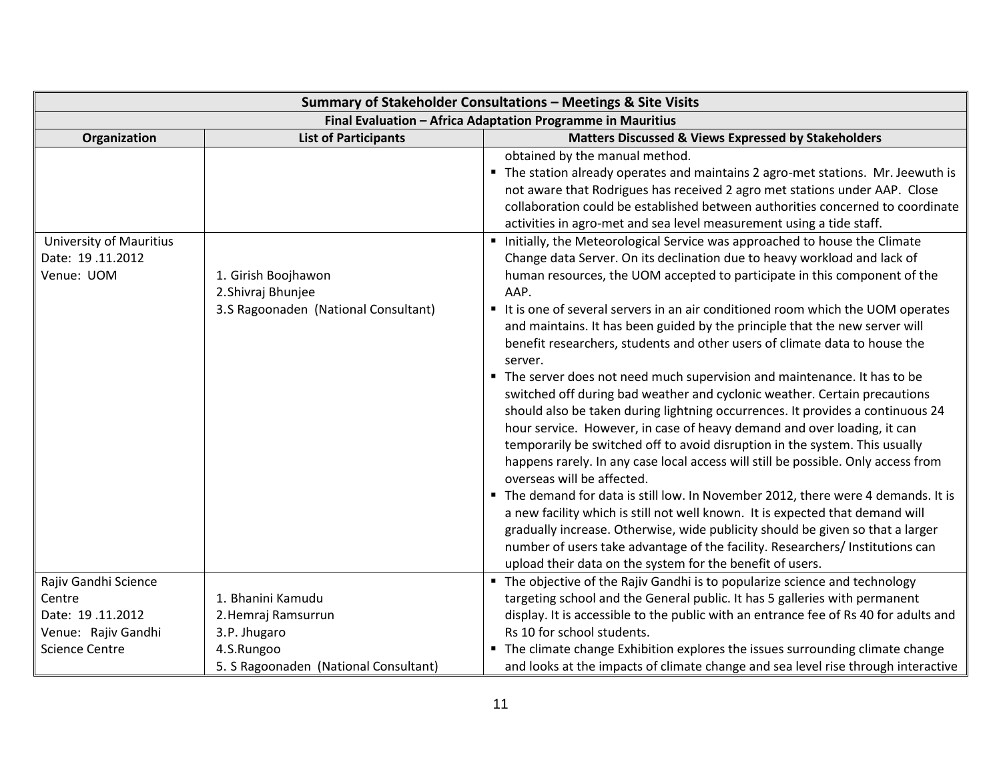| Summary of Stakeholder Consultations - Meetings & Site Visits |                                                                                   |                                                                                                                                                                                                                                                                                                                                                                                                                                                                                                                     |  |
|---------------------------------------------------------------|-----------------------------------------------------------------------------------|---------------------------------------------------------------------------------------------------------------------------------------------------------------------------------------------------------------------------------------------------------------------------------------------------------------------------------------------------------------------------------------------------------------------------------------------------------------------------------------------------------------------|--|
|                                                               | Final Evaluation - Africa Adaptation Programme in Mauritius                       |                                                                                                                                                                                                                                                                                                                                                                                                                                                                                                                     |  |
| Organization                                                  | <b>List of Participants</b>                                                       | <b>Matters Discussed &amp; Views Expressed by Stakeholders</b>                                                                                                                                                                                                                                                                                                                                                                                                                                                      |  |
|                                                               |                                                                                   | obtained by the manual method.<br>The station already operates and maintains 2 agro-met stations. Mr. Jeewuth is<br>not aware that Rodrigues has received 2 agro met stations under AAP. Close<br>collaboration could be established between authorities concerned to coordinate<br>activities in agro-met and sea level measurement using a tide staff.                                                                                                                                                            |  |
| University of Mauritius<br>Date: 19.11.2012                   |                                                                                   | Initially, the Meteorological Service was approached to house the Climate                                                                                                                                                                                                                                                                                                                                                                                                                                           |  |
| Venue: UOM                                                    | 1. Girish Boojhawon<br>2. Shivraj Bhunjee<br>3.S Ragoonaden (National Consultant) | Change data Server. On its declination due to heavy workload and lack of<br>human resources, the UOM accepted to participate in this component of the<br>AAP.<br>It is one of several servers in an air conditioned room which the UOM operates                                                                                                                                                                                                                                                                     |  |
|                                                               |                                                                                   | and maintains. It has been guided by the principle that the new server will<br>benefit researchers, students and other users of climate data to house the<br>server.                                                                                                                                                                                                                                                                                                                                                |  |
|                                                               |                                                                                   | The server does not need much supervision and maintenance. It has to be<br>switched off during bad weather and cyclonic weather. Certain precautions<br>should also be taken during lightning occurrences. It provides a continuous 24<br>hour service. However, in case of heavy demand and over loading, it can<br>temporarily be switched off to avoid disruption in the system. This usually<br>happens rarely. In any case local access will still be possible. Only access from<br>overseas will be affected. |  |
|                                                               |                                                                                   | The demand for data is still low. In November 2012, there were 4 demands. It is<br>a new facility which is still not well known. It is expected that demand will<br>gradually increase. Otherwise, wide publicity should be given so that a larger<br>number of users take advantage of the facility. Researchers/ Institutions can<br>upload their data on the system for the benefit of users.                                                                                                                    |  |
| Rajiv Gandhi Science                                          |                                                                                   | " The objective of the Rajiv Gandhi is to popularize science and technology                                                                                                                                                                                                                                                                                                                                                                                                                                         |  |
| Centre                                                        | 1. Bhanini Kamudu                                                                 | targeting school and the General public. It has 5 galleries with permanent                                                                                                                                                                                                                                                                                                                                                                                                                                          |  |
| Date: 19.11.2012                                              | 2. Hemraj Ramsurrun                                                               | display. It is accessible to the public with an entrance fee of Rs 40 for adults and                                                                                                                                                                                                                                                                                                                                                                                                                                |  |
| Venue: Rajiv Gandhi                                           | 3.P. Jhugaro                                                                      | Rs 10 for school students.                                                                                                                                                                                                                                                                                                                                                                                                                                                                                          |  |
| <b>Science Centre</b>                                         | 4.S.Rungoo                                                                        | • The climate change Exhibition explores the issues surrounding climate change                                                                                                                                                                                                                                                                                                                                                                                                                                      |  |
|                                                               | 5. S Ragoonaden (National Consultant)                                             | and looks at the impacts of climate change and sea level rise through interactive                                                                                                                                                                                                                                                                                                                                                                                                                                   |  |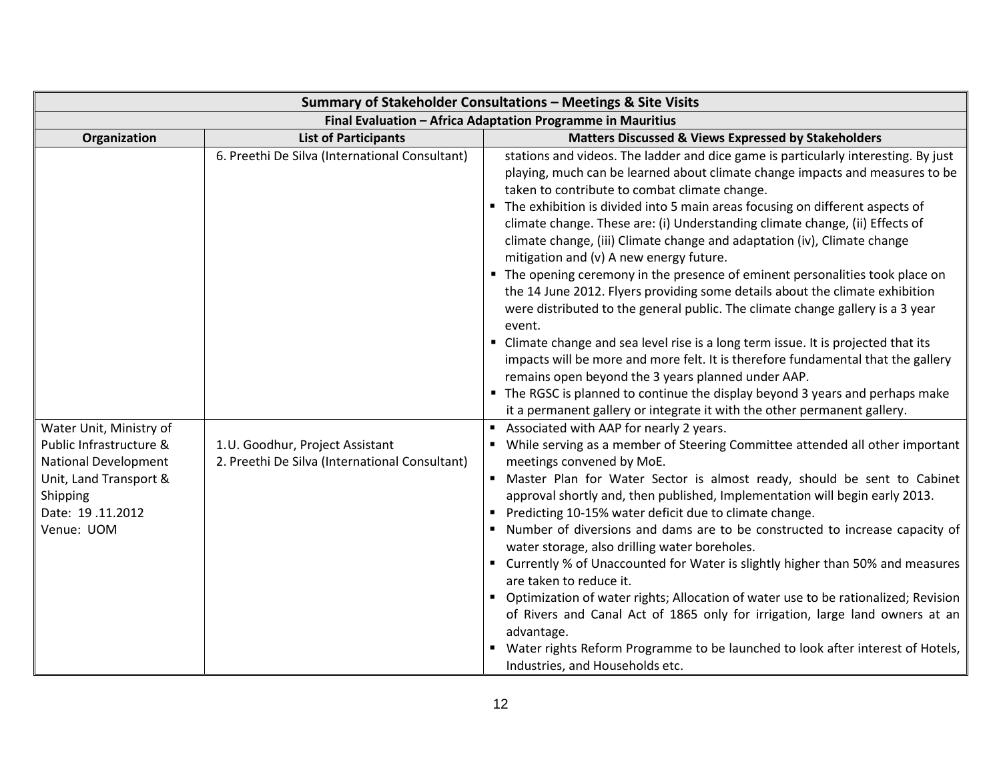| Summary of Stakeholder Consultations - Meetings & Site Visits                                               |                                                                                                                                     |                                                                                                                                                                                                                                                                                                                                                                                                                                                                                                                                                                                                                                                                                                                                                                                                                                                                                                                                                                                                                                                                                                                                                                                                                                                                                                                                                                                                                       |
|-------------------------------------------------------------------------------------------------------------|-------------------------------------------------------------------------------------------------------------------------------------|-----------------------------------------------------------------------------------------------------------------------------------------------------------------------------------------------------------------------------------------------------------------------------------------------------------------------------------------------------------------------------------------------------------------------------------------------------------------------------------------------------------------------------------------------------------------------------------------------------------------------------------------------------------------------------------------------------------------------------------------------------------------------------------------------------------------------------------------------------------------------------------------------------------------------------------------------------------------------------------------------------------------------------------------------------------------------------------------------------------------------------------------------------------------------------------------------------------------------------------------------------------------------------------------------------------------------------------------------------------------------------------------------------------------------|
| Final Evaluation - Africa Adaptation Programme in Mauritius                                                 |                                                                                                                                     |                                                                                                                                                                                                                                                                                                                                                                                                                                                                                                                                                                                                                                                                                                                                                                                                                                                                                                                                                                                                                                                                                                                                                                                                                                                                                                                                                                                                                       |
| Organization                                                                                                | <b>List of Participants</b>                                                                                                         | Matters Discussed & Views Expressed by Stakeholders                                                                                                                                                                                                                                                                                                                                                                                                                                                                                                                                                                                                                                                                                                                                                                                                                                                                                                                                                                                                                                                                                                                                                                                                                                                                                                                                                                   |
| Water Unit, Ministry of<br>Public Infrastructure &<br><b>National Development</b><br>Unit, Land Transport & | 6. Preethi De Silva (International Consultant)<br>1.U. Goodhur, Project Assistant<br>2. Preethi De Silva (International Consultant) | stations and videos. The ladder and dice game is particularly interesting. By just<br>playing, much can be learned about climate change impacts and measures to be<br>taken to contribute to combat climate change.<br>The exhibition is divided into 5 main areas focusing on different aspects of<br>climate change. These are: (i) Understanding climate change, (ii) Effects of<br>climate change, (iii) Climate change and adaptation (iv), Climate change<br>mitigation and (v) A new energy future.<br>• The opening ceremony in the presence of eminent personalities took place on<br>the 14 June 2012. Flyers providing some details about the climate exhibition<br>were distributed to the general public. The climate change gallery is a 3 year<br>event.<br>Climate change and sea level rise is a long term issue. It is projected that its<br>impacts will be more and more felt. It is therefore fundamental that the gallery<br>remains open beyond the 3 years planned under AAP.<br>The RGSC is planned to continue the display beyond 3 years and perhaps make<br>it a permanent gallery or integrate it with the other permanent gallery.<br>Associated with AAP for nearly 2 years.<br>While serving as a member of Steering Committee attended all other important<br>meetings convened by MoE.<br>Master Plan for Water Sector is almost ready, should be sent to Cabinet<br>$\blacksquare$ |
| Shipping<br>Date: 19.11.2012<br>Venue: UOM                                                                  |                                                                                                                                     | approval shortly and, then published, Implementation will begin early 2013.<br>Predicting 10-15% water deficit due to climate change.<br>Number of diversions and dams are to be constructed to increase capacity of<br>water storage, also drilling water boreholes.<br>■ Currently % of Unaccounted for Water is slightly higher than 50% and measures<br>are taken to reduce it.<br>Optimization of water rights; Allocation of water use to be rationalized; Revision<br>of Rivers and Canal Act of 1865 only for irrigation, large land owners at an<br>advantage.<br>Water rights Reform Programme to be launched to look after interest of Hotels,<br>Industries, and Households etc.                                                                                                                                                                                                                                                                                                                                                                                                                                                                                                                                                                                                                                                                                                                          |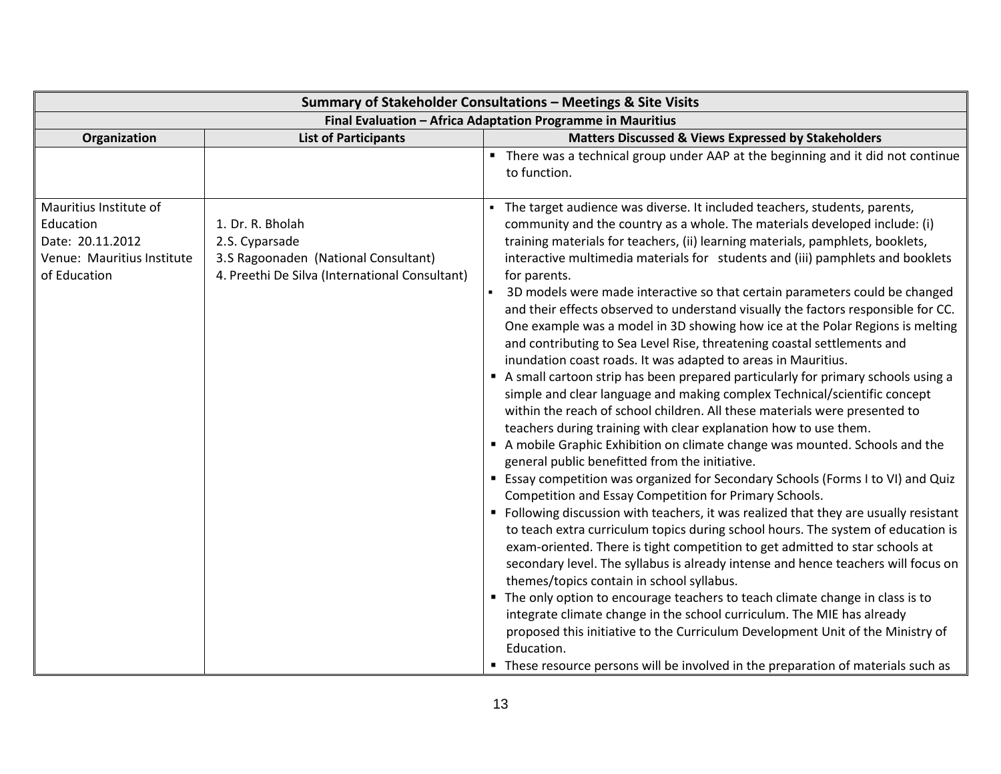|                                                                                                       |                                                                                                                              | Summary of Stakeholder Consultations - Meetings & Site Visits                                                                                                                                                                                                                                                                                                                                                                                                                                                                                                                                                                                                                                                                                                                                                                                                                                                                                                                                                                                                                                                                                                                                                                                                                                                                                                                                                                                                                                                                                                                                                                                                                                                                                                                                                                                                                                                                                                                                                                                                                             |
|-------------------------------------------------------------------------------------------------------|------------------------------------------------------------------------------------------------------------------------------|-------------------------------------------------------------------------------------------------------------------------------------------------------------------------------------------------------------------------------------------------------------------------------------------------------------------------------------------------------------------------------------------------------------------------------------------------------------------------------------------------------------------------------------------------------------------------------------------------------------------------------------------------------------------------------------------------------------------------------------------------------------------------------------------------------------------------------------------------------------------------------------------------------------------------------------------------------------------------------------------------------------------------------------------------------------------------------------------------------------------------------------------------------------------------------------------------------------------------------------------------------------------------------------------------------------------------------------------------------------------------------------------------------------------------------------------------------------------------------------------------------------------------------------------------------------------------------------------------------------------------------------------------------------------------------------------------------------------------------------------------------------------------------------------------------------------------------------------------------------------------------------------------------------------------------------------------------------------------------------------------------------------------------------------------------------------------------------------|
|                                                                                                       |                                                                                                                              | Final Evaluation - Africa Adaptation Programme in Mauritius                                                                                                                                                                                                                                                                                                                                                                                                                                                                                                                                                                                                                                                                                                                                                                                                                                                                                                                                                                                                                                                                                                                                                                                                                                                                                                                                                                                                                                                                                                                                                                                                                                                                                                                                                                                                                                                                                                                                                                                                                               |
| Organization                                                                                          | <b>List of Participants</b>                                                                                                  | Matters Discussed & Views Expressed by Stakeholders                                                                                                                                                                                                                                                                                                                                                                                                                                                                                                                                                                                                                                                                                                                                                                                                                                                                                                                                                                                                                                                                                                                                                                                                                                                                                                                                                                                                                                                                                                                                                                                                                                                                                                                                                                                                                                                                                                                                                                                                                                       |
|                                                                                                       |                                                                                                                              | • There was a technical group under AAP at the beginning and it did not continue<br>to function.                                                                                                                                                                                                                                                                                                                                                                                                                                                                                                                                                                                                                                                                                                                                                                                                                                                                                                                                                                                                                                                                                                                                                                                                                                                                                                                                                                                                                                                                                                                                                                                                                                                                                                                                                                                                                                                                                                                                                                                          |
| Mauritius Institute of<br>Education<br>Date: 20.11.2012<br>Venue: Mauritius Institute<br>of Education | 1. Dr. R. Bholah<br>2.S. Cyparsade<br>3.S Ragoonaden (National Consultant)<br>4. Preethi De Silva (International Consultant) | The target audience was diverse. It included teachers, students, parents,<br>community and the country as a whole. The materials developed include: (i)<br>training materials for teachers, (ii) learning materials, pamphlets, booklets,<br>interactive multimedia materials for students and (iii) pamphlets and booklets<br>for parents.<br>3D models were made interactive so that certain parameters could be changed<br>and their effects observed to understand visually the factors responsible for CC.<br>One example was a model in 3D showing how ice at the Polar Regions is melting<br>and contributing to Sea Level Rise, threatening coastal settlements and<br>inundation coast roads. It was adapted to areas in Mauritius.<br>A small cartoon strip has been prepared particularly for primary schools using a<br>simple and clear language and making complex Technical/scientific concept<br>within the reach of school children. All these materials were presented to<br>teachers during training with clear explanation how to use them.<br>A mobile Graphic Exhibition on climate change was mounted. Schools and the<br>general public benefitted from the initiative.<br>Essay competition was organized for Secondary Schools (Forms I to VI) and Quiz<br>Competition and Essay Competition for Primary Schools.<br>" Following discussion with teachers, it was realized that they are usually resistant<br>to teach extra curriculum topics during school hours. The system of education is<br>exam-oriented. There is tight competition to get admitted to star schools at<br>secondary level. The syllabus is already intense and hence teachers will focus on<br>themes/topics contain in school syllabus.<br>• The only option to encourage teachers to teach climate change in class is to<br>integrate climate change in the school curriculum. The MIE has already<br>proposed this initiative to the Curriculum Development Unit of the Ministry of<br>Education.<br>These resource persons will be involved in the preparation of materials such as |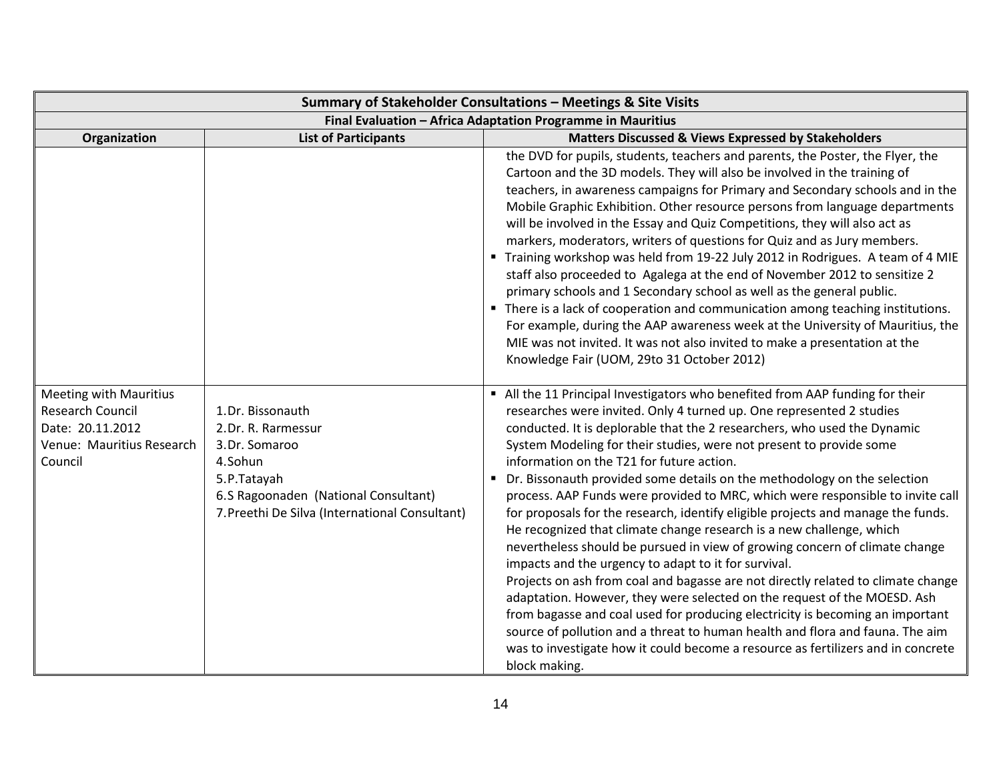| Summary of Stakeholder Consultations - Meetings & Site Visits                                                        |                                                                                                                                                                             |                                                                                                                                                                                                                                                                                                                                                                                                                                                                                                                                                                                                                                                                                                                                                                                                                                                                                                                                                                                                                                                                                                                                                                                                                                                                               |
|----------------------------------------------------------------------------------------------------------------------|-----------------------------------------------------------------------------------------------------------------------------------------------------------------------------|-------------------------------------------------------------------------------------------------------------------------------------------------------------------------------------------------------------------------------------------------------------------------------------------------------------------------------------------------------------------------------------------------------------------------------------------------------------------------------------------------------------------------------------------------------------------------------------------------------------------------------------------------------------------------------------------------------------------------------------------------------------------------------------------------------------------------------------------------------------------------------------------------------------------------------------------------------------------------------------------------------------------------------------------------------------------------------------------------------------------------------------------------------------------------------------------------------------------------------------------------------------------------------|
| Final Evaluation - Africa Adaptation Programme in Mauritius                                                          |                                                                                                                                                                             |                                                                                                                                                                                                                                                                                                                                                                                                                                                                                                                                                                                                                                                                                                                                                                                                                                                                                                                                                                                                                                                                                                                                                                                                                                                                               |
| Organization                                                                                                         | <b>List of Participants</b>                                                                                                                                                 | Matters Discussed & Views Expressed by Stakeholders                                                                                                                                                                                                                                                                                                                                                                                                                                                                                                                                                                                                                                                                                                                                                                                                                                                                                                                                                                                                                                                                                                                                                                                                                           |
|                                                                                                                      |                                                                                                                                                                             | the DVD for pupils, students, teachers and parents, the Poster, the Flyer, the<br>Cartoon and the 3D models. They will also be involved in the training of<br>teachers, in awareness campaigns for Primary and Secondary schools and in the<br>Mobile Graphic Exhibition. Other resource persons from language departments<br>will be involved in the Essay and Quiz Competitions, they will also act as<br>markers, moderators, writers of questions for Quiz and as Jury members.<br>■ Training workshop was held from 19-22 July 2012 in Rodrigues. A team of 4 MIE<br>staff also proceeded to Agalega at the end of November 2012 to sensitize 2<br>primary schools and 1 Secondary school as well as the general public.<br>• There is a lack of cooperation and communication among teaching institutions.<br>For example, during the AAP awareness week at the University of Mauritius, the<br>MIE was not invited. It was not also invited to make a presentation at the<br>Knowledge Fair (UOM, 29to 31 October 2012)                                                                                                                                                                                                                                                |
| <b>Meeting with Mauritius</b><br><b>Research Council</b><br>Date: 20.11.2012<br>Venue: Mauritius Research<br>Council | 1.Dr. Bissonauth<br>2.Dr. R. Rarmessur<br>3.Dr. Somaroo<br>4.Sohun<br>5.P.Tatayah<br>6.S Ragoonaden (National Consultant)<br>7. Preethi De Silva (International Consultant) | All the 11 Principal Investigators who benefited from AAP funding for their<br>researches were invited. Only 4 turned up. One represented 2 studies<br>conducted. It is deplorable that the 2 researchers, who used the Dynamic<br>System Modeling for their studies, were not present to provide some<br>information on the T21 for future action.<br>Dr. Bissonauth provided some details on the methodology on the selection<br>$\blacksquare$<br>process. AAP Funds were provided to MRC, which were responsible to invite call<br>for proposals for the research, identify eligible projects and manage the funds.<br>He recognized that climate change research is a new challenge, which<br>nevertheless should be pursued in view of growing concern of climate change<br>impacts and the urgency to adapt to it for survival.<br>Projects on ash from coal and bagasse are not directly related to climate change<br>adaptation. However, they were selected on the request of the MOESD. Ash<br>from bagasse and coal used for producing electricity is becoming an important<br>source of pollution and a threat to human health and flora and fauna. The aim<br>was to investigate how it could become a resource as fertilizers and in concrete<br>block making. |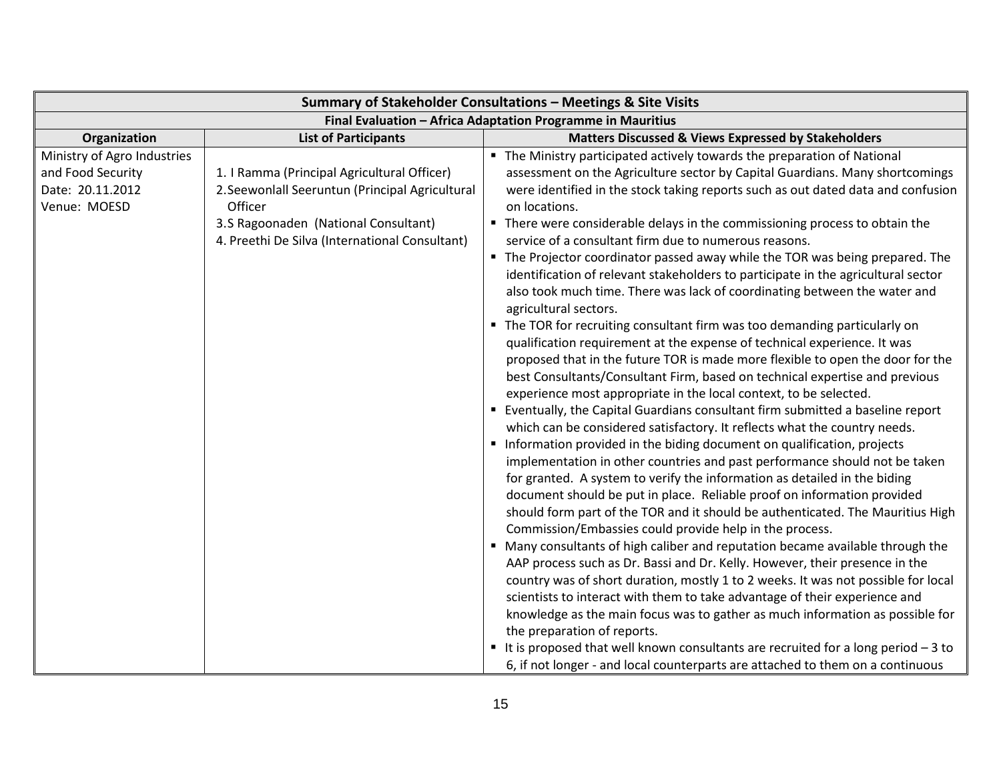|                                                                                      |                                                                                                                                                                                                     | Summary of Stakeholder Consultations - Meetings & Site Visits                                                                                                                                                                                                                                                                                                                                                                                                                                                                                                                                                                                                                                                                                                                                                                                                                                                                                                                                                                                                                                                                                                                                                                                                                                                                                                                                                                                                                                                                                                                                                                                                                                                                                                                                                                                                                                                                                                                                                                                                                                                                                                    |
|--------------------------------------------------------------------------------------|-----------------------------------------------------------------------------------------------------------------------------------------------------------------------------------------------------|------------------------------------------------------------------------------------------------------------------------------------------------------------------------------------------------------------------------------------------------------------------------------------------------------------------------------------------------------------------------------------------------------------------------------------------------------------------------------------------------------------------------------------------------------------------------------------------------------------------------------------------------------------------------------------------------------------------------------------------------------------------------------------------------------------------------------------------------------------------------------------------------------------------------------------------------------------------------------------------------------------------------------------------------------------------------------------------------------------------------------------------------------------------------------------------------------------------------------------------------------------------------------------------------------------------------------------------------------------------------------------------------------------------------------------------------------------------------------------------------------------------------------------------------------------------------------------------------------------------------------------------------------------------------------------------------------------------------------------------------------------------------------------------------------------------------------------------------------------------------------------------------------------------------------------------------------------------------------------------------------------------------------------------------------------------------------------------------------------------------------------------------------------------|
|                                                                                      |                                                                                                                                                                                                     | Final Evaluation - Africa Adaptation Programme in Mauritius                                                                                                                                                                                                                                                                                                                                                                                                                                                                                                                                                                                                                                                                                                                                                                                                                                                                                                                                                                                                                                                                                                                                                                                                                                                                                                                                                                                                                                                                                                                                                                                                                                                                                                                                                                                                                                                                                                                                                                                                                                                                                                      |
| Organization                                                                         | <b>List of Participants</b>                                                                                                                                                                         | <b>Matters Discussed &amp; Views Expressed by Stakeholders</b>                                                                                                                                                                                                                                                                                                                                                                                                                                                                                                                                                                                                                                                                                                                                                                                                                                                                                                                                                                                                                                                                                                                                                                                                                                                                                                                                                                                                                                                                                                                                                                                                                                                                                                                                                                                                                                                                                                                                                                                                                                                                                                   |
| Ministry of Agro Industries<br>and Food Security<br>Date: 20.11.2012<br>Venue: MOESD | 1. I Ramma (Principal Agricultural Officer)<br>2. Seewonlall Seeruntun (Principal Agricultural<br>Officer<br>3.S Ragoonaden (National Consultant)<br>4. Preethi De Silva (International Consultant) | • The Ministry participated actively towards the preparation of National<br>assessment on the Agriculture sector by Capital Guardians. Many shortcomings<br>were identified in the stock taking reports such as out dated data and confusion<br>on locations.<br>• There were considerable delays in the commissioning process to obtain the<br>service of a consultant firm due to numerous reasons.<br>" The Projector coordinator passed away while the TOR was being prepared. The<br>identification of relevant stakeholders to participate in the agricultural sector<br>also took much time. There was lack of coordinating between the water and<br>agricultural sectors.<br>• The TOR for recruiting consultant firm was too demanding particularly on<br>qualification requirement at the expense of technical experience. It was<br>proposed that in the future TOR is made more flexible to open the door for the<br>best Consultants/Consultant Firm, based on technical expertise and previous<br>experience most appropriate in the local context, to be selected.<br>Eventually, the Capital Guardians consultant firm submitted a baseline report<br>which can be considered satisfactory. It reflects what the country needs.<br>Information provided in the biding document on qualification, projects<br>implementation in other countries and past performance should not be taken<br>for granted. A system to verify the information as detailed in the biding<br>document should be put in place. Reliable proof on information provided<br>should form part of the TOR and it should be authenticated. The Mauritius High<br>Commission/Embassies could provide help in the process.<br>" Many consultants of high caliber and reputation became available through the<br>AAP process such as Dr. Bassi and Dr. Kelly. However, their presence in the<br>country was of short duration, mostly 1 to 2 weeks. It was not possible for local<br>scientists to interact with them to take advantage of their experience and<br>knowledge as the main focus was to gather as much information as possible for<br>the preparation of reports. |
|                                                                                      |                                                                                                                                                                                                     | ■ It is proposed that well known consultants are recruited for a long period $-3$ to                                                                                                                                                                                                                                                                                                                                                                                                                                                                                                                                                                                                                                                                                                                                                                                                                                                                                                                                                                                                                                                                                                                                                                                                                                                                                                                                                                                                                                                                                                                                                                                                                                                                                                                                                                                                                                                                                                                                                                                                                                                                             |
|                                                                                      |                                                                                                                                                                                                     | 6, if not longer - and local counterparts are attached to them on a continuous                                                                                                                                                                                                                                                                                                                                                                                                                                                                                                                                                                                                                                                                                                                                                                                                                                                                                                                                                                                                                                                                                                                                                                                                                                                                                                                                                                                                                                                                                                                                                                                                                                                                                                                                                                                                                                                                                                                                                                                                                                                                                   |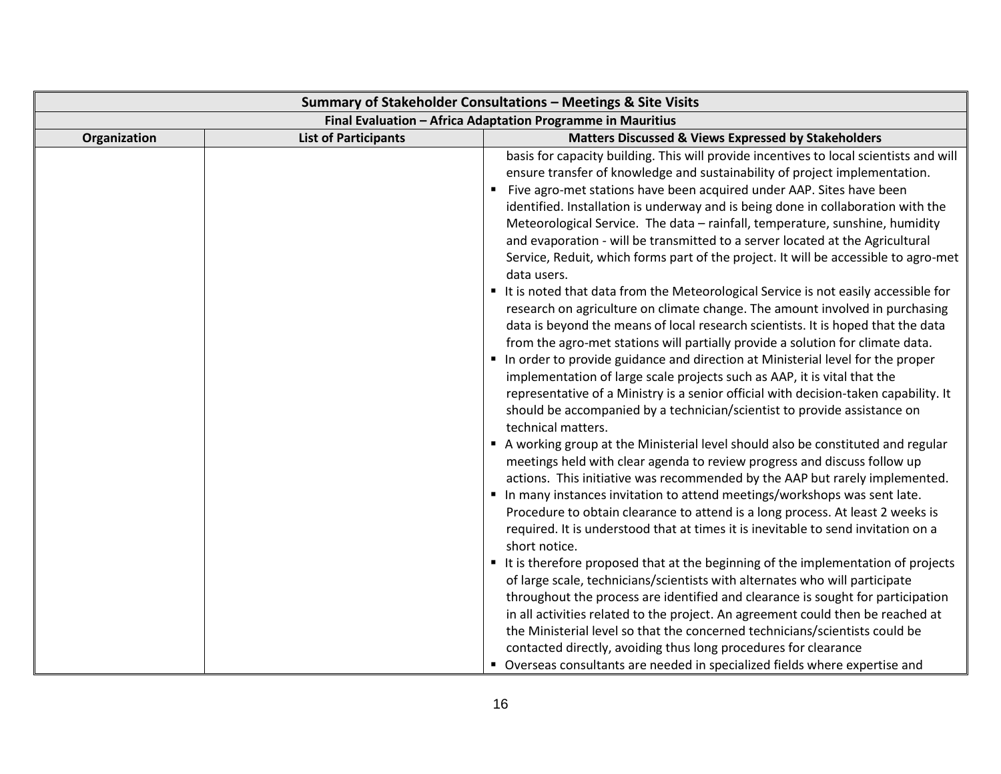| Summary of Stakeholder Consultations - Meetings & Site Visits |                             |                                                                                                                                                                                                                                                                                                                                                                                                                                                                                                                                                                                                                                                                                                                                                                                                                                                                                                                                                                                                                                                                                                                                                                                                                                                                                                                                                                                                                                                                                                                                                                                                                                                                                                                                                                                                                                                                                                                                                                                                                                                                                                                                                                                                                                                                                                                          |
|---------------------------------------------------------------|-----------------------------|--------------------------------------------------------------------------------------------------------------------------------------------------------------------------------------------------------------------------------------------------------------------------------------------------------------------------------------------------------------------------------------------------------------------------------------------------------------------------------------------------------------------------------------------------------------------------------------------------------------------------------------------------------------------------------------------------------------------------------------------------------------------------------------------------------------------------------------------------------------------------------------------------------------------------------------------------------------------------------------------------------------------------------------------------------------------------------------------------------------------------------------------------------------------------------------------------------------------------------------------------------------------------------------------------------------------------------------------------------------------------------------------------------------------------------------------------------------------------------------------------------------------------------------------------------------------------------------------------------------------------------------------------------------------------------------------------------------------------------------------------------------------------------------------------------------------------------------------------------------------------------------------------------------------------------------------------------------------------------------------------------------------------------------------------------------------------------------------------------------------------------------------------------------------------------------------------------------------------------------------------------------------------------------------------------------------------|
| Final Evaluation - Africa Adaptation Programme in Mauritius   |                             |                                                                                                                                                                                                                                                                                                                                                                                                                                                                                                                                                                                                                                                                                                                                                                                                                                                                                                                                                                                                                                                                                                                                                                                                                                                                                                                                                                                                                                                                                                                                                                                                                                                                                                                                                                                                                                                                                                                                                                                                                                                                                                                                                                                                                                                                                                                          |
| Organization                                                  | <b>List of Participants</b> | <b>Matters Discussed &amp; Views Expressed by Stakeholders</b>                                                                                                                                                                                                                                                                                                                                                                                                                                                                                                                                                                                                                                                                                                                                                                                                                                                                                                                                                                                                                                                                                                                                                                                                                                                                                                                                                                                                                                                                                                                                                                                                                                                                                                                                                                                                                                                                                                                                                                                                                                                                                                                                                                                                                                                           |
|                                                               |                             | basis for capacity building. This will provide incentives to local scientists and will<br>ensure transfer of knowledge and sustainability of project implementation.<br>Five agro-met stations have been acquired under AAP. Sites have been<br>identified. Installation is underway and is being done in collaboration with the<br>Meteorological Service. The data - rainfall, temperature, sunshine, humidity<br>and evaporation - will be transmitted to a server located at the Agricultural<br>Service, Reduit, which forms part of the project. It will be accessible to agro-met<br>data users.<br>It is noted that data from the Meteorological Service is not easily accessible for<br>research on agriculture on climate change. The amount involved in purchasing<br>data is beyond the means of local research scientists. It is hoped that the data<br>from the agro-met stations will partially provide a solution for climate data.<br>In order to provide guidance and direction at Ministerial level for the proper<br>implementation of large scale projects such as AAP, it is vital that the<br>representative of a Ministry is a senior official with decision-taken capability. It<br>should be accompanied by a technician/scientist to provide assistance on<br>technical matters.<br>A working group at the Ministerial level should also be constituted and regular<br>meetings held with clear agenda to review progress and discuss follow up<br>actions. This initiative was recommended by the AAP but rarely implemented.<br>In many instances invitation to attend meetings/workshops was sent late.<br>Procedure to obtain clearance to attend is a long process. At least 2 weeks is<br>required. It is understood that at times it is inevitable to send invitation on a<br>short notice.<br>It is therefore proposed that at the beginning of the implementation of projects<br>of large scale, technicians/scientists with alternates who will participate<br>throughout the process are identified and clearance is sought for participation<br>in all activities related to the project. An agreement could then be reached at<br>the Ministerial level so that the concerned technicians/scientists could be<br>contacted directly, avoiding thus long procedures for clearance |
|                                                               |                             | • Overseas consultants are needed in specialized fields where expertise and                                                                                                                                                                                                                                                                                                                                                                                                                                                                                                                                                                                                                                                                                                                                                                                                                                                                                                                                                                                                                                                                                                                                                                                                                                                                                                                                                                                                                                                                                                                                                                                                                                                                                                                                                                                                                                                                                                                                                                                                                                                                                                                                                                                                                                              |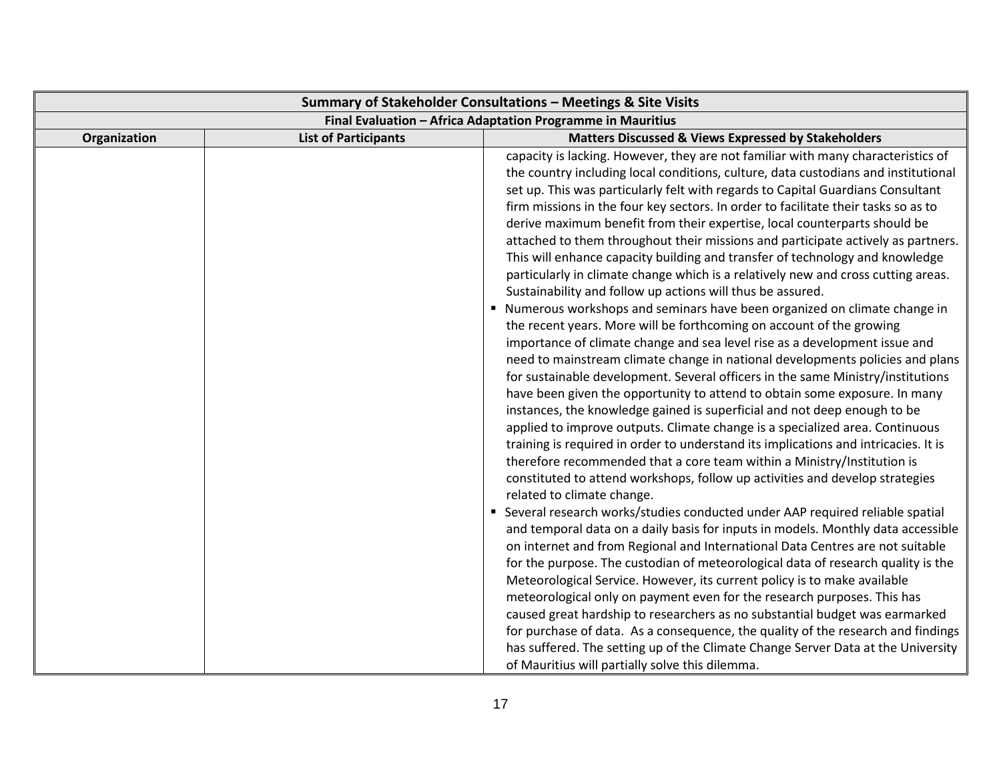| Summary of Stakeholder Consultations - Meetings & Site Visits |                             |                                                                                                                                                                                                                                                                                                                                                                                                                                                                                                                                                                                                                                                                                                                                                                                                                                                                                                                                                                                                                                                                                                                                                                                                                                                                                                                                                                                                                                                                                                                                                                                                                                                                                                                                                                                                                                                                                                                                                                                                                                                                                                                                                                                                                                                                                                                                                                                                                                                                                                 |
|---------------------------------------------------------------|-----------------------------|-------------------------------------------------------------------------------------------------------------------------------------------------------------------------------------------------------------------------------------------------------------------------------------------------------------------------------------------------------------------------------------------------------------------------------------------------------------------------------------------------------------------------------------------------------------------------------------------------------------------------------------------------------------------------------------------------------------------------------------------------------------------------------------------------------------------------------------------------------------------------------------------------------------------------------------------------------------------------------------------------------------------------------------------------------------------------------------------------------------------------------------------------------------------------------------------------------------------------------------------------------------------------------------------------------------------------------------------------------------------------------------------------------------------------------------------------------------------------------------------------------------------------------------------------------------------------------------------------------------------------------------------------------------------------------------------------------------------------------------------------------------------------------------------------------------------------------------------------------------------------------------------------------------------------------------------------------------------------------------------------------------------------------------------------------------------------------------------------------------------------------------------------------------------------------------------------------------------------------------------------------------------------------------------------------------------------------------------------------------------------------------------------------------------------------------------------------------------------------------------------|
| Final Evaluation - Africa Adaptation Programme in Mauritius   |                             |                                                                                                                                                                                                                                                                                                                                                                                                                                                                                                                                                                                                                                                                                                                                                                                                                                                                                                                                                                                                                                                                                                                                                                                                                                                                                                                                                                                                                                                                                                                                                                                                                                                                                                                                                                                                                                                                                                                                                                                                                                                                                                                                                                                                                                                                                                                                                                                                                                                                                                 |
| Organization                                                  | <b>List of Participants</b> | <b>Matters Discussed &amp; Views Expressed by Stakeholders</b>                                                                                                                                                                                                                                                                                                                                                                                                                                                                                                                                                                                                                                                                                                                                                                                                                                                                                                                                                                                                                                                                                                                                                                                                                                                                                                                                                                                                                                                                                                                                                                                                                                                                                                                                                                                                                                                                                                                                                                                                                                                                                                                                                                                                                                                                                                                                                                                                                                  |
|                                                               |                             | capacity is lacking. However, they are not familiar with many characteristics of<br>the country including local conditions, culture, data custodians and institutional<br>set up. This was particularly felt with regards to Capital Guardians Consultant<br>firm missions in the four key sectors. In order to facilitate their tasks so as to<br>derive maximum benefit from their expertise, local counterparts should be<br>attached to them throughout their missions and participate actively as partners.<br>This will enhance capacity building and transfer of technology and knowledge<br>particularly in climate change which is a relatively new and cross cutting areas.<br>Sustainability and follow up actions will thus be assured.<br>Numerous workshops and seminars have been organized on climate change in<br>the recent years. More will be forthcoming on account of the growing<br>importance of climate change and sea level rise as a development issue and<br>need to mainstream climate change in national developments policies and plans<br>for sustainable development. Several officers in the same Ministry/institutions<br>have been given the opportunity to attend to obtain some exposure. In many<br>instances, the knowledge gained is superficial and not deep enough to be<br>applied to improve outputs. Climate change is a specialized area. Continuous<br>training is required in order to understand its implications and intricacies. It is<br>therefore recommended that a core team within a Ministry/Institution is<br>constituted to attend workshops, follow up activities and develop strategies<br>related to climate change.<br>• Several research works/studies conducted under AAP required reliable spatial<br>and temporal data on a daily basis for inputs in models. Monthly data accessible<br>on internet and from Regional and International Data Centres are not suitable<br>for the purpose. The custodian of meteorological data of research quality is the<br>Meteorological Service. However, its current policy is to make available<br>meteorological only on payment even for the research purposes. This has<br>caused great hardship to researchers as no substantial budget was earmarked<br>for purchase of data. As a consequence, the quality of the research and findings<br>has suffered. The setting up of the Climate Change Server Data at the University<br>of Mauritius will partially solve this dilemma. |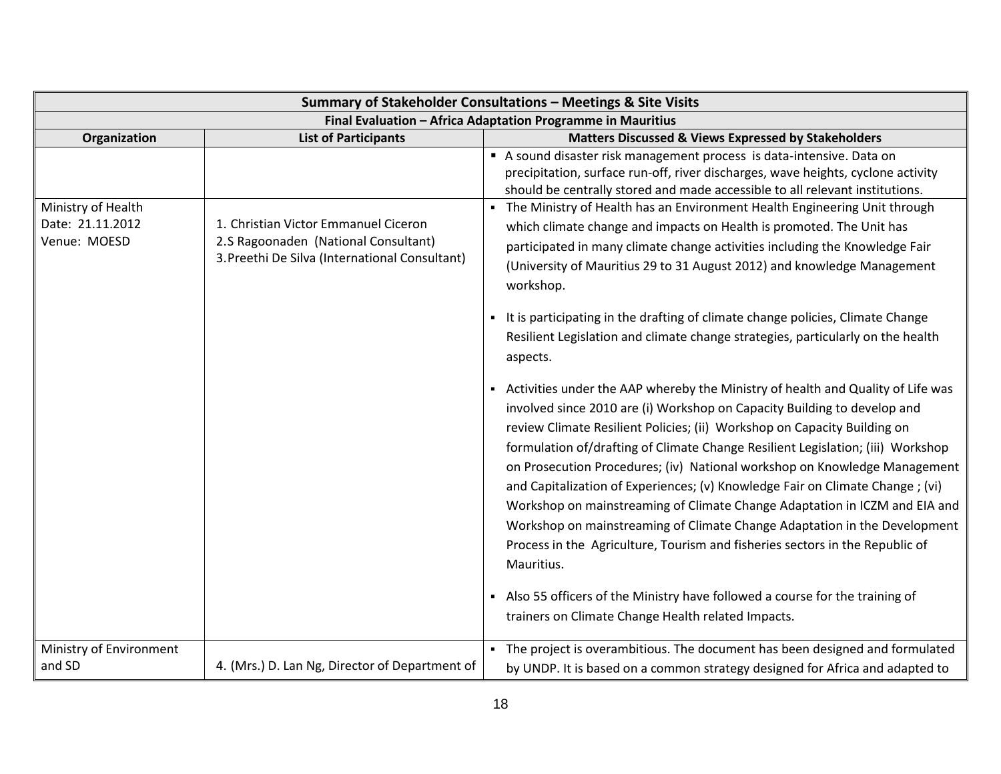| Summary of Stakeholder Consultations - Meetings & Site Visits |                                                                                                                                |                                                                                                                                                                                                                                                                                                                                                                                                                                                                                                                                                                                                                                                                                                                                                   |
|---------------------------------------------------------------|--------------------------------------------------------------------------------------------------------------------------------|---------------------------------------------------------------------------------------------------------------------------------------------------------------------------------------------------------------------------------------------------------------------------------------------------------------------------------------------------------------------------------------------------------------------------------------------------------------------------------------------------------------------------------------------------------------------------------------------------------------------------------------------------------------------------------------------------------------------------------------------------|
| Final Evaluation - Africa Adaptation Programme in Mauritius   |                                                                                                                                |                                                                                                                                                                                                                                                                                                                                                                                                                                                                                                                                                                                                                                                                                                                                                   |
| Organization                                                  | <b>List of Participants</b>                                                                                                    | <b>Matters Discussed &amp; Views Expressed by Stakeholders</b>                                                                                                                                                                                                                                                                                                                                                                                                                                                                                                                                                                                                                                                                                    |
|                                                               |                                                                                                                                | A sound disaster risk management process is data-intensive. Data on<br>precipitation, surface run-off, river discharges, wave heights, cyclone activity<br>should be centrally stored and made accessible to all relevant institutions.                                                                                                                                                                                                                                                                                                                                                                                                                                                                                                           |
| Ministry of Health<br>Date: 21.11.2012<br>Venue: MOESD        | 1. Christian Victor Emmanuel Ciceron<br>2.S Ragoonaden (National Consultant)<br>3. Preethi De Silva (International Consultant) | The Ministry of Health has an Environment Health Engineering Unit through<br>which climate change and impacts on Health is promoted. The Unit has<br>participated in many climate change activities including the Knowledge Fair<br>(University of Mauritius 29 to 31 August 2012) and knowledge Management<br>workshop.<br>It is participating in the drafting of climate change policies, Climate Change                                                                                                                                                                                                                                                                                                                                        |
|                                                               |                                                                                                                                | Resilient Legislation and climate change strategies, particularly on the health<br>aspects.                                                                                                                                                                                                                                                                                                                                                                                                                                                                                                                                                                                                                                                       |
|                                                               |                                                                                                                                | Activities under the AAP whereby the Ministry of health and Quality of Life was<br>involved since 2010 are (i) Workshop on Capacity Building to develop and<br>review Climate Resilient Policies; (ii) Workshop on Capacity Building on<br>formulation of/drafting of Climate Change Resilient Legislation; (iii) Workshop<br>on Prosecution Procedures; (iv) National workshop on Knowledge Management<br>and Capitalization of Experiences; (v) Knowledge Fair on Climate Change; (vi)<br>Workshop on mainstreaming of Climate Change Adaptation in ICZM and EIA and<br>Workshop on mainstreaming of Climate Change Adaptation in the Development<br>Process in the Agriculture, Tourism and fisheries sectors in the Republic of<br>Mauritius. |
|                                                               |                                                                                                                                | • Also 55 officers of the Ministry have followed a course for the training of<br>trainers on Climate Change Health related Impacts.                                                                                                                                                                                                                                                                                                                                                                                                                                                                                                                                                                                                               |
| Ministry of Environment<br>and SD                             | 4. (Mrs.) D. Lan Ng, Director of Department of                                                                                 | The project is overambitious. The document has been designed and formulated<br>by UNDP. It is based on a common strategy designed for Africa and adapted to                                                                                                                                                                                                                                                                                                                                                                                                                                                                                                                                                                                       |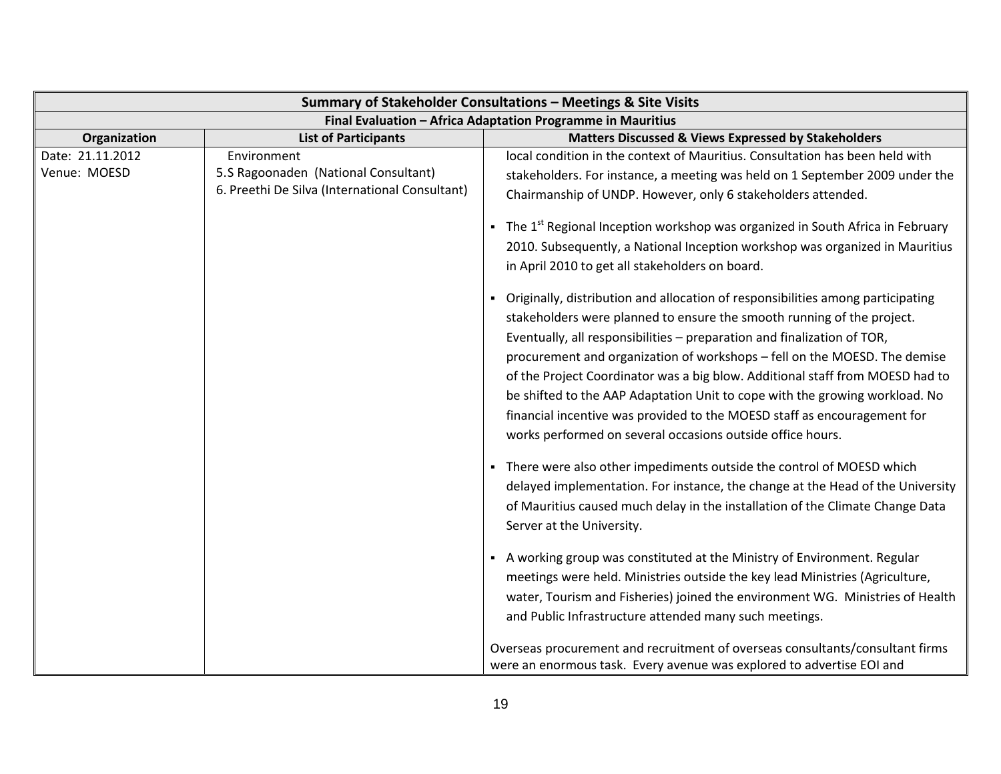|                                  |                                                                                                       | Summary of Stakeholder Consultations - Meetings & Site Visits                                                                                                                                                                                                                                                                                                                                                                                                                                                                                                                                                                                                                                                                                                                                                                                                                                                                                                                                                                                                                                                                                                                                                                                                                                                                                                   |
|----------------------------------|-------------------------------------------------------------------------------------------------------|-----------------------------------------------------------------------------------------------------------------------------------------------------------------------------------------------------------------------------------------------------------------------------------------------------------------------------------------------------------------------------------------------------------------------------------------------------------------------------------------------------------------------------------------------------------------------------------------------------------------------------------------------------------------------------------------------------------------------------------------------------------------------------------------------------------------------------------------------------------------------------------------------------------------------------------------------------------------------------------------------------------------------------------------------------------------------------------------------------------------------------------------------------------------------------------------------------------------------------------------------------------------------------------------------------------------------------------------------------------------|
|                                  |                                                                                                       | Final Evaluation - Africa Adaptation Programme in Mauritius                                                                                                                                                                                                                                                                                                                                                                                                                                                                                                                                                                                                                                                                                                                                                                                                                                                                                                                                                                                                                                                                                                                                                                                                                                                                                                     |
| Organization                     | <b>List of Participants</b>                                                                           | <b>Matters Discussed &amp; Views Expressed by Stakeholders</b>                                                                                                                                                                                                                                                                                                                                                                                                                                                                                                                                                                                                                                                                                                                                                                                                                                                                                                                                                                                                                                                                                                                                                                                                                                                                                                  |
| Date: 21.11.2012<br>Venue: MOESD | Environment<br>5.S Ragoonaden (National Consultant)<br>6. Preethi De Silva (International Consultant) | local condition in the context of Mauritius. Consultation has been held with<br>stakeholders. For instance, a meeting was held on 1 September 2009 under the<br>Chairmanship of UNDP. However, only 6 stakeholders attended.<br>• The $1st$ Regional Inception workshop was organized in South Africa in February<br>2010. Subsequently, a National Inception workshop was organized in Mauritius<br>in April 2010 to get all stakeholders on board.<br>• Originally, distribution and allocation of responsibilities among participating<br>stakeholders were planned to ensure the smooth running of the project.<br>Eventually, all responsibilities - preparation and finalization of TOR,<br>procurement and organization of workshops - fell on the MOESD. The demise<br>of the Project Coordinator was a big blow. Additional staff from MOESD had to<br>be shifted to the AAP Adaptation Unit to cope with the growing workload. No<br>financial incentive was provided to the MOESD staff as encouragement for<br>works performed on several occasions outside office hours.<br>• There were also other impediments outside the control of MOESD which<br>delayed implementation. For instance, the change at the Head of the University<br>of Mauritius caused much delay in the installation of the Climate Change Data<br>Server at the University. |
|                                  |                                                                                                       | • A working group was constituted at the Ministry of Environment. Regular<br>meetings were held. Ministries outside the key lead Ministries (Agriculture,<br>water, Tourism and Fisheries) joined the environment WG. Ministries of Health<br>and Public Infrastructure attended many such meetings.                                                                                                                                                                                                                                                                                                                                                                                                                                                                                                                                                                                                                                                                                                                                                                                                                                                                                                                                                                                                                                                            |
|                                  |                                                                                                       | Overseas procurement and recruitment of overseas consultants/consultant firms<br>were an enormous task. Every avenue was explored to advertise EOI and                                                                                                                                                                                                                                                                                                                                                                                                                                                                                                                                                                                                                                                                                                                                                                                                                                                                                                                                                                                                                                                                                                                                                                                                          |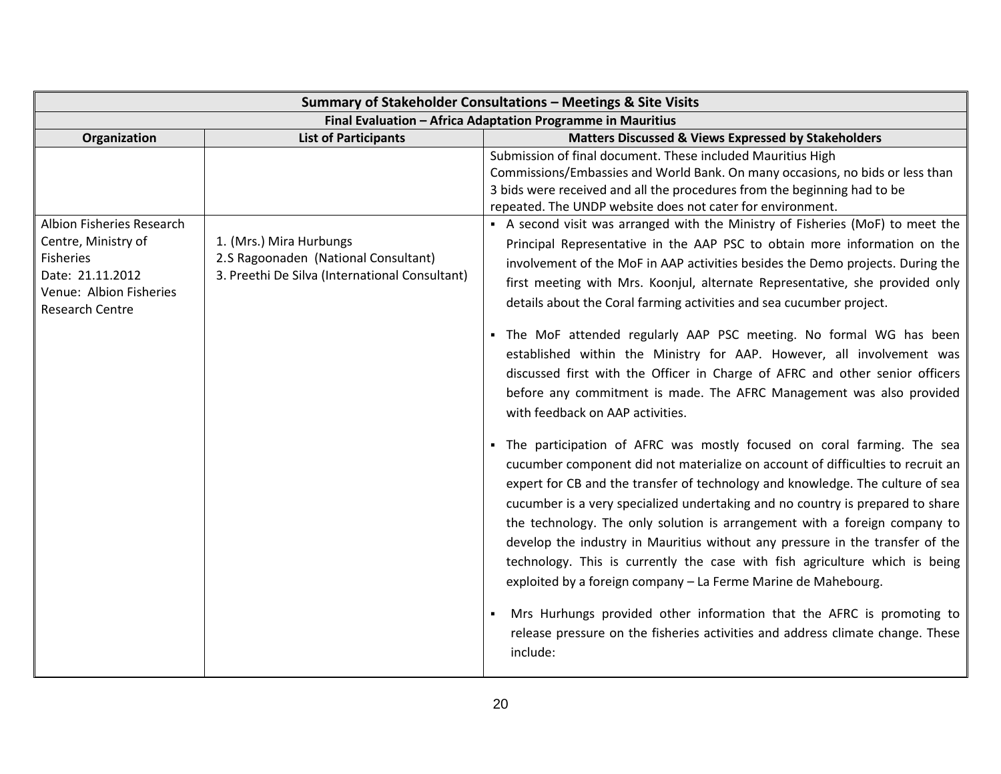| Summary of Stakeholder Consultations - Meetings & Site Visits                                                                          |                                                                                                                   |                                                                                                                                                                                                                                                                                                                                                                                                                                                                                                                                                                                                                                                                                                                                                                                                                                                                                                                                                                                                                                                                                                                                                                                                                                                                                                                                                                                                                                                                                                                                                                                                                                                                                                                                                                                                                                                           |
|----------------------------------------------------------------------------------------------------------------------------------------|-------------------------------------------------------------------------------------------------------------------|-----------------------------------------------------------------------------------------------------------------------------------------------------------------------------------------------------------------------------------------------------------------------------------------------------------------------------------------------------------------------------------------------------------------------------------------------------------------------------------------------------------------------------------------------------------------------------------------------------------------------------------------------------------------------------------------------------------------------------------------------------------------------------------------------------------------------------------------------------------------------------------------------------------------------------------------------------------------------------------------------------------------------------------------------------------------------------------------------------------------------------------------------------------------------------------------------------------------------------------------------------------------------------------------------------------------------------------------------------------------------------------------------------------------------------------------------------------------------------------------------------------------------------------------------------------------------------------------------------------------------------------------------------------------------------------------------------------------------------------------------------------------------------------------------------------------------------------------------------------|
| Final Evaluation - Africa Adaptation Programme in Mauritius                                                                            |                                                                                                                   |                                                                                                                                                                                                                                                                                                                                                                                                                                                                                                                                                                                                                                                                                                                                                                                                                                                                                                                                                                                                                                                                                                                                                                                                                                                                                                                                                                                                                                                                                                                                                                                                                                                                                                                                                                                                                                                           |
| Organization                                                                                                                           | <b>List of Participants</b>                                                                                       | <b>Matters Discussed &amp; Views Expressed by Stakeholders</b>                                                                                                                                                                                                                                                                                                                                                                                                                                                                                                                                                                                                                                                                                                                                                                                                                                                                                                                                                                                                                                                                                                                                                                                                                                                                                                                                                                                                                                                                                                                                                                                                                                                                                                                                                                                            |
| Albion Fisheries Research<br>Centre, Ministry of<br>Fisheries<br>Date: 21.11.2012<br>Venue: Albion Fisheries<br><b>Research Centre</b> | 1. (Mrs.) Mira Hurbungs<br>2.S Ragoonaden (National Consultant)<br>3. Preethi De Silva (International Consultant) | Submission of final document. These included Mauritius High<br>Commissions/Embassies and World Bank. On many occasions, no bids or less than<br>3 bids were received and all the procedures from the beginning had to be<br>repeated. The UNDP website does not cater for environment.<br>• A second visit was arranged with the Ministry of Fisheries (MoF) to meet the<br>Principal Representative in the AAP PSC to obtain more information on the<br>involvement of the MoF in AAP activities besides the Demo projects. During the<br>first meeting with Mrs. Koonjul, alternate Representative, she provided only<br>details about the Coral farming activities and sea cucumber project.<br>. The MoF attended regularly AAP PSC meeting. No formal WG has been<br>established within the Ministry for AAP. However, all involvement was<br>discussed first with the Officer in Charge of AFRC and other senior officers<br>before any commitment is made. The AFRC Management was also provided<br>with feedback on AAP activities.<br>. The participation of AFRC was mostly focused on coral farming. The sea<br>cucumber component did not materialize on account of difficulties to recruit an<br>expert for CB and the transfer of technology and knowledge. The culture of sea<br>cucumber is a very specialized undertaking and no country is prepared to share<br>the technology. The only solution is arrangement with a foreign company to<br>develop the industry in Mauritius without any pressure in the transfer of the<br>technology. This is currently the case with fish agriculture which is being<br>exploited by a foreign company - La Ferme Marine de Mahebourg.<br>Mrs Hurhungs provided other information that the AFRC is promoting to<br>release pressure on the fisheries activities and address climate change. These |
|                                                                                                                                        |                                                                                                                   | include:                                                                                                                                                                                                                                                                                                                                                                                                                                                                                                                                                                                                                                                                                                                                                                                                                                                                                                                                                                                                                                                                                                                                                                                                                                                                                                                                                                                                                                                                                                                                                                                                                                                                                                                                                                                                                                                  |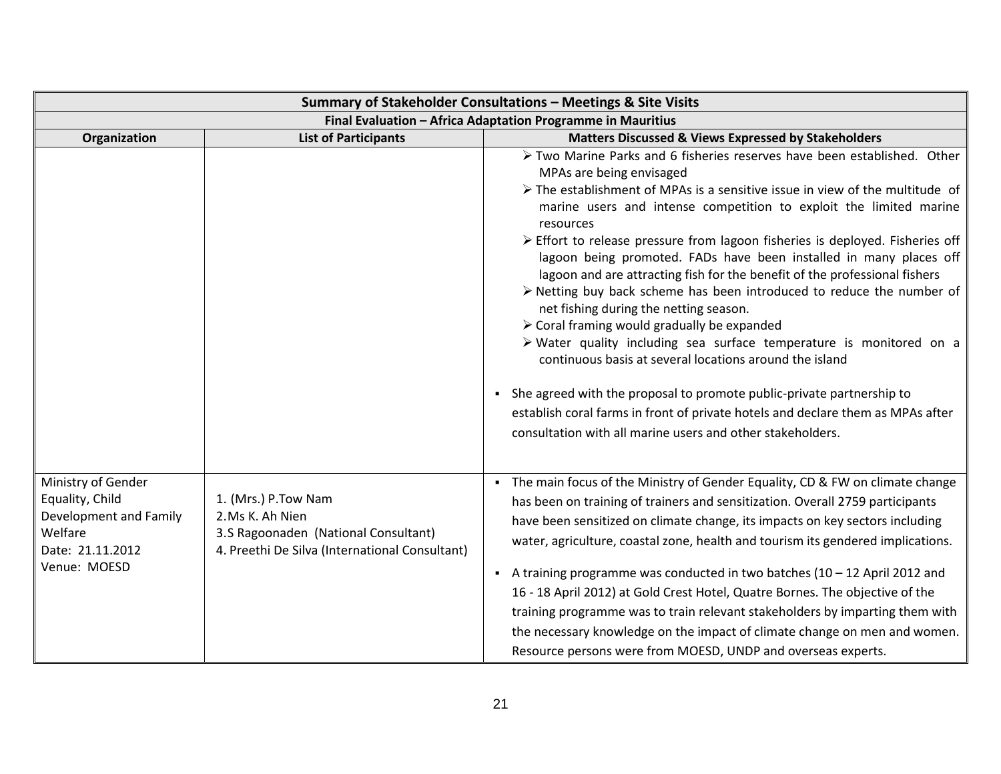|                                                                                                                |                                                                                                                                  | Summary of Stakeholder Consultations - Meetings & Site Visits                                                                                                                                                                                                                                                                                                                                                                                                                                                                                                                                                                                                                                                                                                                                                                                                                                                                                                                                                                                                          |
|----------------------------------------------------------------------------------------------------------------|----------------------------------------------------------------------------------------------------------------------------------|------------------------------------------------------------------------------------------------------------------------------------------------------------------------------------------------------------------------------------------------------------------------------------------------------------------------------------------------------------------------------------------------------------------------------------------------------------------------------------------------------------------------------------------------------------------------------------------------------------------------------------------------------------------------------------------------------------------------------------------------------------------------------------------------------------------------------------------------------------------------------------------------------------------------------------------------------------------------------------------------------------------------------------------------------------------------|
|                                                                                                                |                                                                                                                                  | Final Evaluation - Africa Adaptation Programme in Mauritius                                                                                                                                                                                                                                                                                                                                                                                                                                                                                                                                                                                                                                                                                                                                                                                                                                                                                                                                                                                                            |
| Organization                                                                                                   | <b>List of Participants</b>                                                                                                      | <b>Matters Discussed &amp; Views Expressed by Stakeholders</b>                                                                                                                                                                                                                                                                                                                                                                                                                                                                                                                                                                                                                                                                                                                                                                                                                                                                                                                                                                                                         |
|                                                                                                                |                                                                                                                                  | Two Marine Parks and 6 fisheries reserves have been established. Other<br>MPAs are being envisaged<br>$\triangleright$ The establishment of MPAs is a sensitive issue in view of the multitude of<br>marine users and intense competition to exploit the limited marine<br>resources<br>> Effort to release pressure from lagoon fisheries is deployed. Fisheries off<br>lagoon being promoted. FADs have been installed in many places off<br>lagoon and are attracting fish for the benefit of the professional fishers<br>$\triangleright$ Netting buy back scheme has been introduced to reduce the number of<br>net fishing during the netting season.<br>> Coral framing would gradually be expanded<br>> Water quality including sea surface temperature is monitored on a<br>continuous basis at several locations around the island<br>She agreed with the proposal to promote public-private partnership to<br>establish coral farms in front of private hotels and declare them as MPAs after<br>consultation with all marine users and other stakeholders. |
| Ministry of Gender<br>Equality, Child<br>Development and Family<br>Welfare<br>Date: 21.11.2012<br>Venue: MOESD | 1. (Mrs.) P.Tow Nam<br>2.Ms K. Ah Nien<br>3.S Ragoonaden (National Consultant)<br>4. Preethi De Silva (International Consultant) | • The main focus of the Ministry of Gender Equality, CD & FW on climate change<br>has been on training of trainers and sensitization. Overall 2759 participants<br>have been sensitized on climate change, its impacts on key sectors including<br>water, agriculture, coastal zone, health and tourism its gendered implications.<br>A training programme was conducted in two batches $(10 - 12$ April 2012 and<br>16 - 18 April 2012) at Gold Crest Hotel, Quatre Bornes. The objective of the<br>training programme was to train relevant stakeholders by imparting them with<br>the necessary knowledge on the impact of climate change on men and women.<br>Resource persons were from MOESD, UNDP and overseas experts.                                                                                                                                                                                                                                                                                                                                         |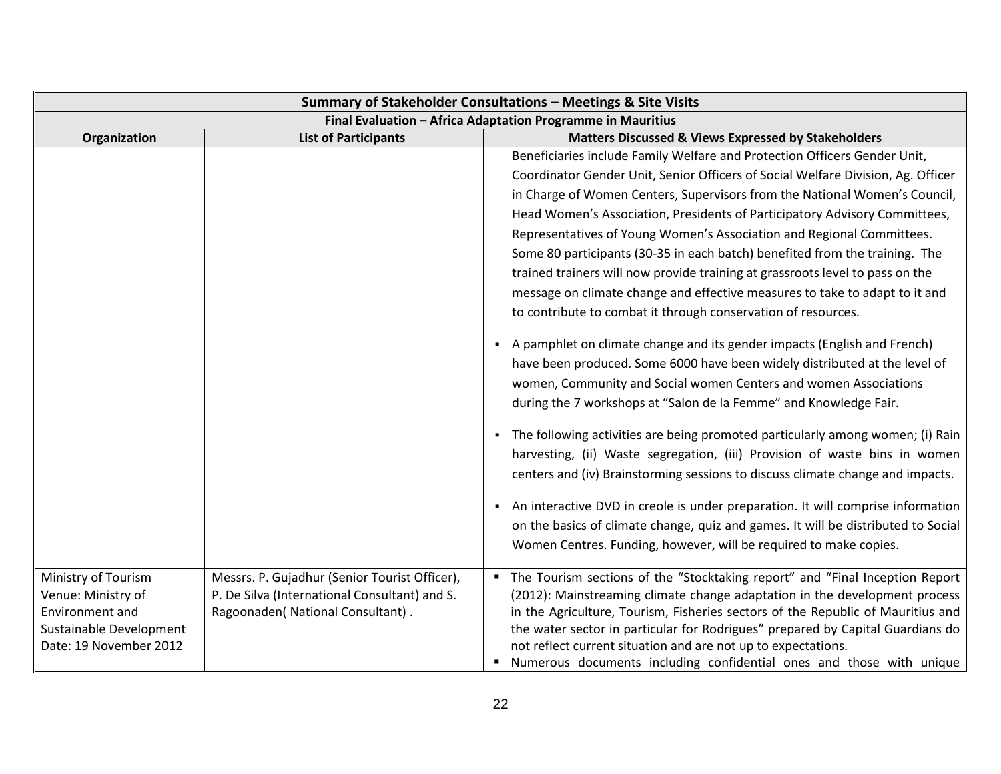| Summary of Stakeholder Consultations - Meetings & Site Visits                                                            |                                                                                                                                     |                                                                                                                                                                                                                                                                                                                                                                                                                                                                                                                                                                                                                                                                                                                                                                                                      |
|--------------------------------------------------------------------------------------------------------------------------|-------------------------------------------------------------------------------------------------------------------------------------|------------------------------------------------------------------------------------------------------------------------------------------------------------------------------------------------------------------------------------------------------------------------------------------------------------------------------------------------------------------------------------------------------------------------------------------------------------------------------------------------------------------------------------------------------------------------------------------------------------------------------------------------------------------------------------------------------------------------------------------------------------------------------------------------------|
| Final Evaluation - Africa Adaptation Programme in Mauritius                                                              |                                                                                                                                     |                                                                                                                                                                                                                                                                                                                                                                                                                                                                                                                                                                                                                                                                                                                                                                                                      |
| Organization                                                                                                             | <b>List of Participants</b>                                                                                                         | Matters Discussed & Views Expressed by Stakeholders                                                                                                                                                                                                                                                                                                                                                                                                                                                                                                                                                                                                                                                                                                                                                  |
|                                                                                                                          |                                                                                                                                     | Beneficiaries include Family Welfare and Protection Officers Gender Unit,                                                                                                                                                                                                                                                                                                                                                                                                                                                                                                                                                                                                                                                                                                                            |
|                                                                                                                          |                                                                                                                                     | Coordinator Gender Unit, Senior Officers of Social Welfare Division, Ag. Officer                                                                                                                                                                                                                                                                                                                                                                                                                                                                                                                                                                                                                                                                                                                     |
|                                                                                                                          |                                                                                                                                     | in Charge of Women Centers, Supervisors from the National Women's Council,                                                                                                                                                                                                                                                                                                                                                                                                                                                                                                                                                                                                                                                                                                                           |
|                                                                                                                          |                                                                                                                                     | Head Women's Association, Presidents of Participatory Advisory Committees,                                                                                                                                                                                                                                                                                                                                                                                                                                                                                                                                                                                                                                                                                                                           |
|                                                                                                                          |                                                                                                                                     | Representatives of Young Women's Association and Regional Committees.                                                                                                                                                                                                                                                                                                                                                                                                                                                                                                                                                                                                                                                                                                                                |
|                                                                                                                          |                                                                                                                                     | Some 80 participants (30-35 in each batch) benefited from the training. The                                                                                                                                                                                                                                                                                                                                                                                                                                                                                                                                                                                                                                                                                                                          |
|                                                                                                                          |                                                                                                                                     | trained trainers will now provide training at grassroots level to pass on the                                                                                                                                                                                                                                                                                                                                                                                                                                                                                                                                                                                                                                                                                                                        |
|                                                                                                                          |                                                                                                                                     | message on climate change and effective measures to take to adapt to it and                                                                                                                                                                                                                                                                                                                                                                                                                                                                                                                                                                                                                                                                                                                          |
|                                                                                                                          |                                                                                                                                     | to contribute to combat it through conservation of resources.                                                                                                                                                                                                                                                                                                                                                                                                                                                                                                                                                                                                                                                                                                                                        |
|                                                                                                                          |                                                                                                                                     | • A pamphlet on climate change and its gender impacts (English and French)<br>have been produced. Some 6000 have been widely distributed at the level of<br>women, Community and Social women Centers and women Associations<br>during the 7 workshops at "Salon de la Femme" and Knowledge Fair.<br>• The following activities are being promoted particularly among women; (i) Rain<br>harvesting, (ii) Waste segregation, (iii) Provision of waste bins in women<br>centers and (iv) Brainstorming sessions to discuss climate change and impacts.<br>- An interactive DVD in creole is under preparation. It will comprise information<br>on the basics of climate change, quiz and games. It will be distributed to Social<br>Women Centres. Funding, however, will be required to make copies. |
| Ministry of Tourism<br>Venue: Ministry of<br><b>Environment and</b><br>Sustainable Development<br>Date: 19 November 2012 | Messrs. P. Gujadhur (Senior Tourist Officer),<br>P. De Silva (International Consultant) and S.<br>Ragoonaden( National Consultant). | • The Tourism sections of the "Stocktaking report" and "Final Inception Report<br>(2012): Mainstreaming climate change adaptation in the development process<br>in the Agriculture, Tourism, Fisheries sectors of the Republic of Mauritius and<br>the water sector in particular for Rodrigues" prepared by Capital Guardians do<br>not reflect current situation and are not up to expectations.<br>" Numerous documents including confidential ones and those with unique                                                                                                                                                                                                                                                                                                                         |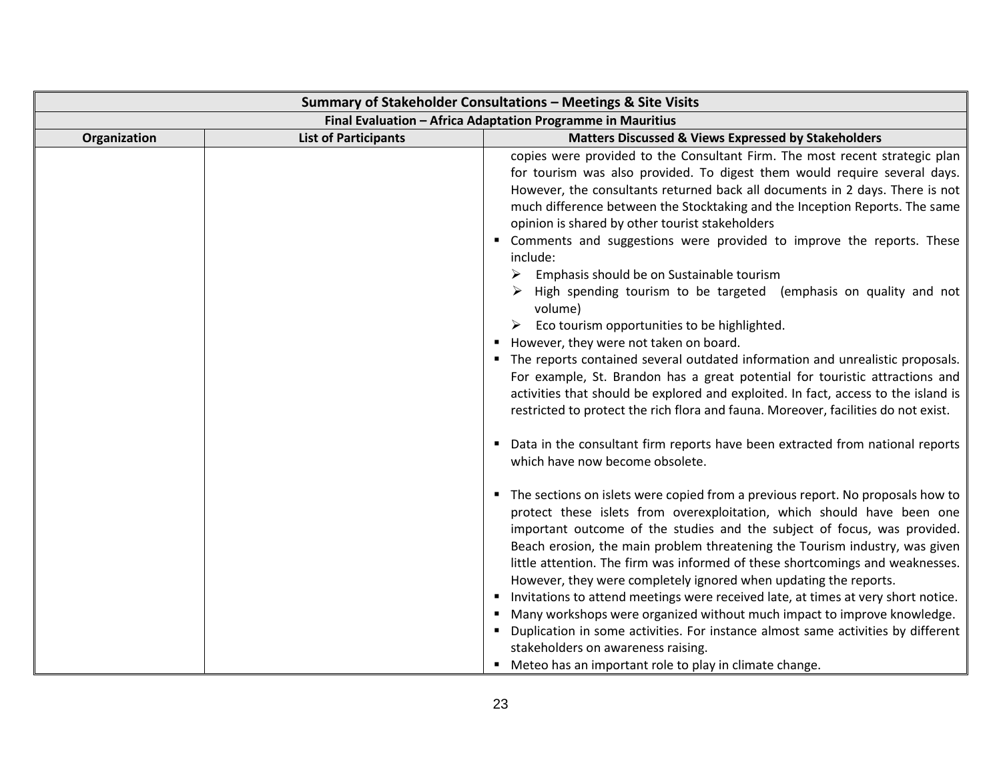| Summary of Stakeholder Consultations - Meetings & Site Visits |                             |                                                                                                                                                                                                                                                                                                                                                                                                                                                                                                                                                                                                                                                                                                                                                                                                                                                                                                                                                                                                                                                                                                                                                                                                                                                                                                                                                                                                                                                                                                                                                                                                                                                                                                                                                                                                                                                                                                                                                                                                                            |
|---------------------------------------------------------------|-----------------------------|----------------------------------------------------------------------------------------------------------------------------------------------------------------------------------------------------------------------------------------------------------------------------------------------------------------------------------------------------------------------------------------------------------------------------------------------------------------------------------------------------------------------------------------------------------------------------------------------------------------------------------------------------------------------------------------------------------------------------------------------------------------------------------------------------------------------------------------------------------------------------------------------------------------------------------------------------------------------------------------------------------------------------------------------------------------------------------------------------------------------------------------------------------------------------------------------------------------------------------------------------------------------------------------------------------------------------------------------------------------------------------------------------------------------------------------------------------------------------------------------------------------------------------------------------------------------------------------------------------------------------------------------------------------------------------------------------------------------------------------------------------------------------------------------------------------------------------------------------------------------------------------------------------------------------------------------------------------------------------------------------------------------------|
| Final Evaluation - Africa Adaptation Programme in Mauritius   |                             |                                                                                                                                                                                                                                                                                                                                                                                                                                                                                                                                                                                                                                                                                                                                                                                                                                                                                                                                                                                                                                                                                                                                                                                                                                                                                                                                                                                                                                                                                                                                                                                                                                                                                                                                                                                                                                                                                                                                                                                                                            |
| Organization                                                  | <b>List of Participants</b> | <b>Matters Discussed &amp; Views Expressed by Stakeholders</b>                                                                                                                                                                                                                                                                                                                                                                                                                                                                                                                                                                                                                                                                                                                                                                                                                                                                                                                                                                                                                                                                                                                                                                                                                                                                                                                                                                                                                                                                                                                                                                                                                                                                                                                                                                                                                                                                                                                                                             |
|                                                               |                             | copies were provided to the Consultant Firm. The most recent strategic plan<br>for tourism was also provided. To digest them would require several days.<br>However, the consultants returned back all documents in 2 days. There is not<br>much difference between the Stocktaking and the Inception Reports. The same<br>opinion is shared by other tourist stakeholders<br>" Comments and suggestions were provided to improve the reports. These<br>include:<br>Emphasis should be on Sustainable tourism<br>➤<br>High spending tourism to be targeted (emphasis on quality and not<br>volume)<br>$\triangleright$ Eco tourism opportunities to be highlighted.<br>However, they were not taken on board.<br>• The reports contained several outdated information and unrealistic proposals.<br>For example, St. Brandon has a great potential for touristic attractions and<br>activities that should be explored and exploited. In fact, access to the island is<br>restricted to protect the rich flora and fauna. Moreover, facilities do not exist.<br>• Data in the consultant firm reports have been extracted from national reports<br>which have now become obsolete.<br>• The sections on islets were copied from a previous report. No proposals how to<br>protect these islets from overexploitation, which should have been one<br>important outcome of the studies and the subject of focus, was provided.<br>Beach erosion, the main problem threatening the Tourism industry, was given<br>little attention. The firm was informed of these shortcomings and weaknesses.<br>However, they were completely ignored when updating the reports.<br>Invitations to attend meetings were received late, at times at very short notice.<br>■ Many workshops were organized without much impact to improve knowledge.<br>• Duplication in some activities. For instance almost same activities by different<br>stakeholders on awareness raising.<br>" Meteo has an important role to play in climate change. |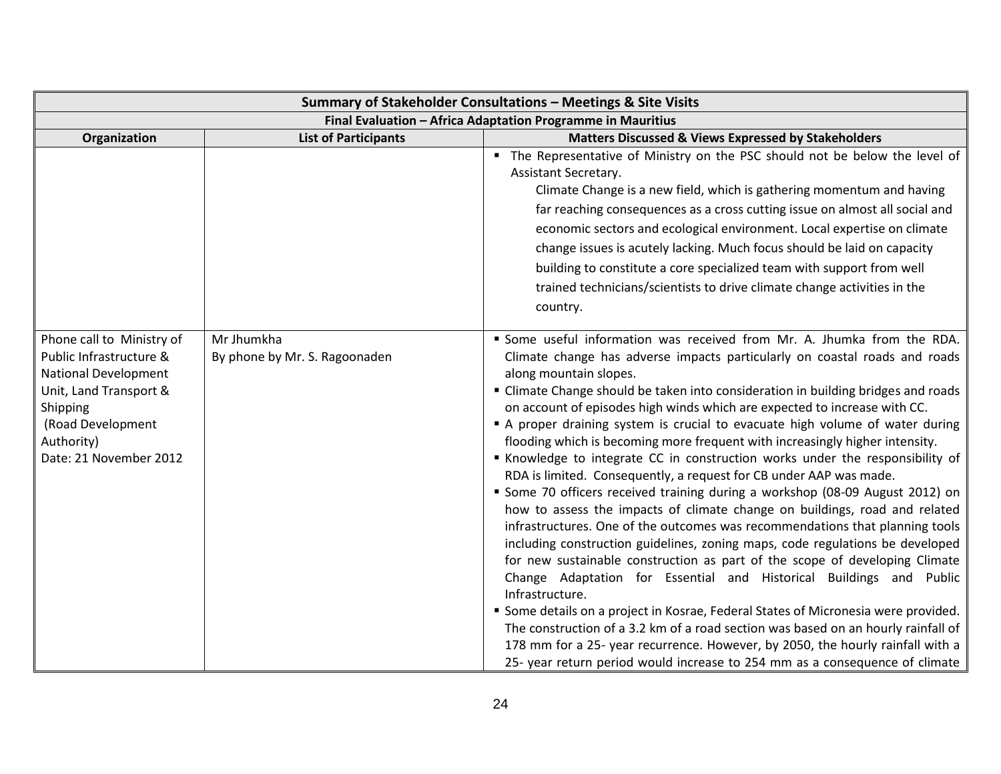| Summary of Stakeholder Consultations - Meetings & Site Visits                                                                                                                          |                                             |                                                                                                                                                                                                                                                                                                                                                                                                                                                                                                                                                                                                                                                                                                                                                                                                                                                                                                                                                                                                                                                                                                                                                                                                                                                                                                                                                                                                                                                                                                                            |
|----------------------------------------------------------------------------------------------------------------------------------------------------------------------------------------|---------------------------------------------|----------------------------------------------------------------------------------------------------------------------------------------------------------------------------------------------------------------------------------------------------------------------------------------------------------------------------------------------------------------------------------------------------------------------------------------------------------------------------------------------------------------------------------------------------------------------------------------------------------------------------------------------------------------------------------------------------------------------------------------------------------------------------------------------------------------------------------------------------------------------------------------------------------------------------------------------------------------------------------------------------------------------------------------------------------------------------------------------------------------------------------------------------------------------------------------------------------------------------------------------------------------------------------------------------------------------------------------------------------------------------------------------------------------------------------------------------------------------------------------------------------------------------|
| Final Evaluation - Africa Adaptation Programme in Mauritius                                                                                                                            |                                             |                                                                                                                                                                                                                                                                                                                                                                                                                                                                                                                                                                                                                                                                                                                                                                                                                                                                                                                                                                                                                                                                                                                                                                                                                                                                                                                                                                                                                                                                                                                            |
| Organization                                                                                                                                                                           | <b>List of Participants</b>                 | <b>Matters Discussed &amp; Views Expressed by Stakeholders</b>                                                                                                                                                                                                                                                                                                                                                                                                                                                                                                                                                                                                                                                                                                                                                                                                                                                                                                                                                                                                                                                                                                                                                                                                                                                                                                                                                                                                                                                             |
|                                                                                                                                                                                        |                                             | " The Representative of Ministry on the PSC should not be below the level of<br>Assistant Secretary.<br>Climate Change is a new field, which is gathering momentum and having<br>far reaching consequences as a cross cutting issue on almost all social and<br>economic sectors and ecological environment. Local expertise on climate<br>change issues is acutely lacking. Much focus should be laid on capacity<br>building to constitute a core specialized team with support from well<br>trained technicians/scientists to drive climate change activities in the<br>country.                                                                                                                                                                                                                                                                                                                                                                                                                                                                                                                                                                                                                                                                                                                                                                                                                                                                                                                                        |
| Phone call to Ministry of<br>Public Infrastructure &<br><b>National Development</b><br>Unit, Land Transport &<br>Shipping<br>(Road Development<br>Authority)<br>Date: 21 November 2012 | Mr Jhumkha<br>By phone by Mr. S. Ragoonaden | " Some useful information was received from Mr. A. Jhumka from the RDA.<br>Climate change has adverse impacts particularly on coastal roads and roads<br>along mountain slopes.<br>" Climate Change should be taken into consideration in building bridges and roads<br>on account of episodes high winds which are expected to increase with CC.<br>A proper draining system is crucial to evacuate high volume of water during<br>flooding which is becoming more frequent with increasingly higher intensity.<br>Knowledge to integrate CC in construction works under the responsibility of<br>RDA is limited. Consequently, a request for CB under AAP was made.<br>• Some 70 officers received training during a workshop (08-09 August 2012) on<br>how to assess the impacts of climate change on buildings, road and related<br>infrastructures. One of the outcomes was recommendations that planning tools<br>including construction guidelines, zoning maps, code regulations be developed<br>for new sustainable construction as part of the scope of developing Climate<br>Change Adaptation for Essential and Historical Buildings and Public<br>Infrastructure.<br>" Some details on a project in Kosrae, Federal States of Micronesia were provided.<br>The construction of a 3.2 km of a road section was based on an hourly rainfall of<br>178 mm for a 25- year recurrence. However, by 2050, the hourly rainfall with a<br>25- year return period would increase to 254 mm as a consequence of climate |